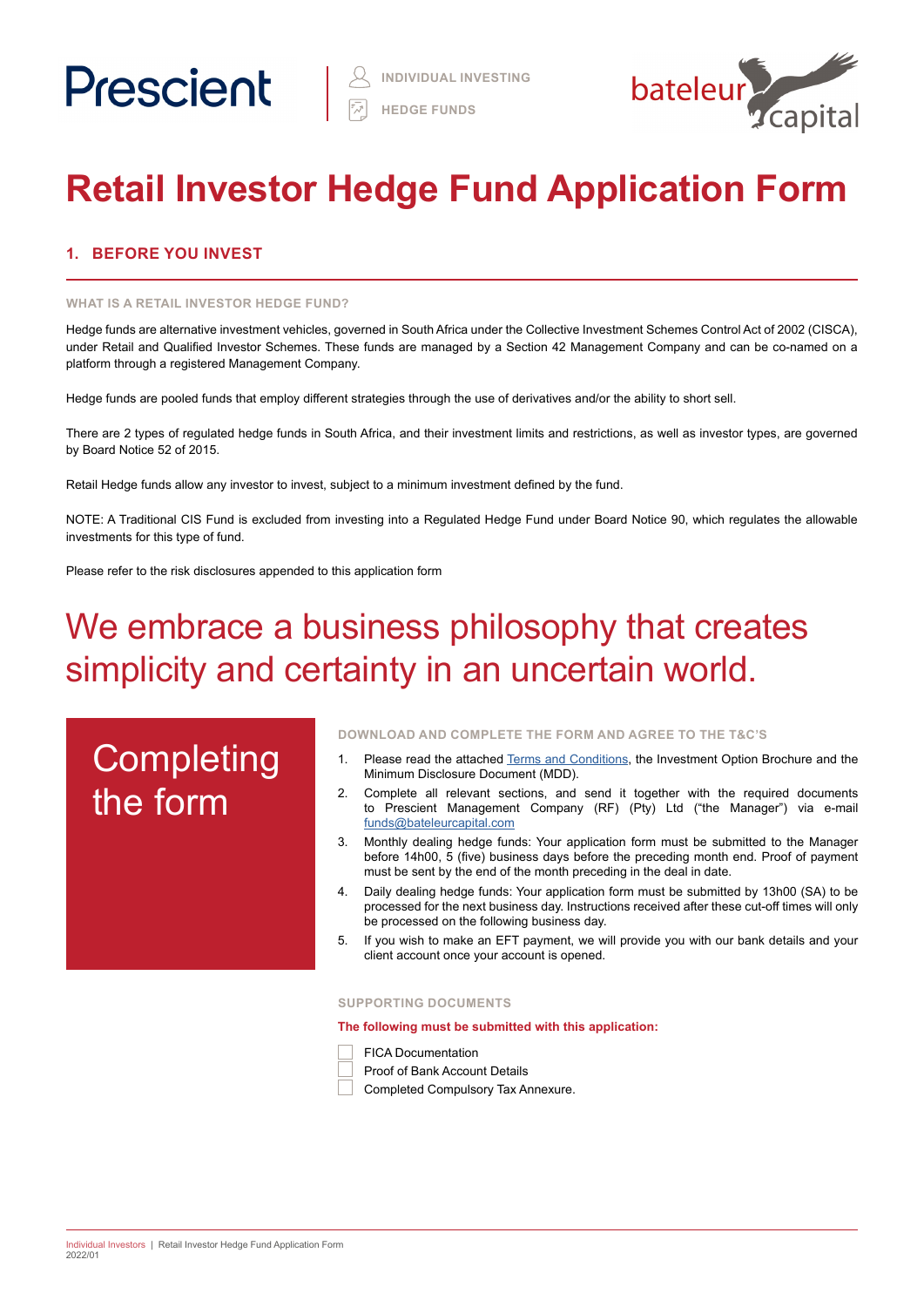

# **Retail Investor Hedge Fund Application Form**

# **1. BEFORE YOU INVEST**

### **WHAT IS A RETAIL INVESTOR HEDGE FUND?**

Hedge funds are alternative investment vehicles, governed in South Africa under the Collective Investment Schemes Control Act of 2002 (CISCA), under Retail and Qualified Investor Schemes. These funds are managed by a Section 42 Management Company and can be co-named on a platform through a registered Management Company.

Hedge funds are pooled funds that employ different strategies through the use of derivatives and/or the ability to short sell.

There are 2 types of regulated hedge funds in South Africa, and their investment limits and restrictions, as well as investor types, are governed by Board Notice 52 of 2015.

Retail Hedge funds allow any investor to invest, subject to a minimum investment defined by the fund.

NOTE: A Traditional CIS Fund is excluded from investing into a Regulated Hedge Fund under Board Notice 90, which regulates the allowable investments for this type of fund.

Please refer to the risk disclosures appended to this application form

# We embrace a business philosophy that creates simplicity and certainty in an uncertain world.

# **Completing** the form

**DOWNLOAD AND COMPLETE THE FORM AND AGREE TO THE T&C'S**

- 1. Please read the attached [Terms and Conditions](https://www.prescient.co.za/media/de4hvtza/prescient-hedge-fund-terms-conditions.pdf), the Investment Option Brochure and the Minimum Disclosure Document (MDD).
- 2. Complete all relevant sections, and send it together with the required documents to Prescient Management Company (RF) (Pty) Ltd ("the Manager") via e-mail [funds@bateleurcapital.com](mailto:funds%40bateleurcapital.com?subject=Hedge%20Fund%20Individual%20Investor%20Application%20Form%20RI)
- 3. Monthly dealing hedge funds: Your application form must be submitted to the Manager before 14h00, 5 (five) business days before the preceding month end. Proof of payment must be sent by the end of the month preceding in the deal in date.
- 4. Daily dealing hedge funds: Your application form must be submitted by 13h00 (SA) to be processed for the next business day. Instructions received after these cut-off times will only be processed on the following business day.
- 5. If you wish to make an EFT payment, we will provide you with our bank details and your client account once your account is opened.

## **SUPPORTING DOCUMENTS**

**The following must be submitted with this application:**

- FICA Documentation
- Proof of Bank Account Details

Completed Compulsory Tax Annexure.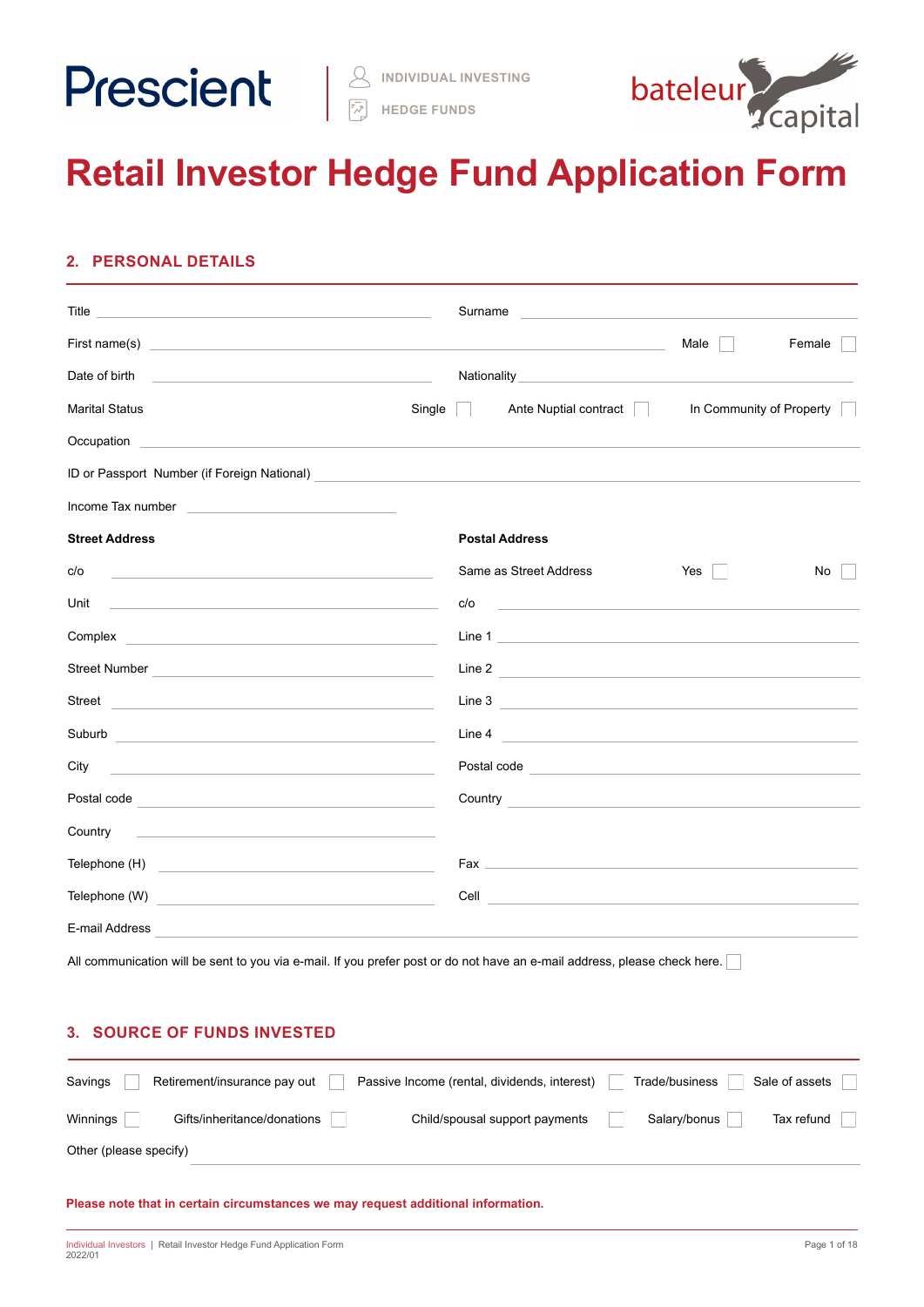

**HEDGE FUNDS**



# **Retail Investor Hedge Fund Application Form**

# **2. PERSONAL DETAILS**

|                                                                                                                                                                                                                                      | Surname<br><u> 1980 - Johann Barbara, martxa alemaniar a</u> |                          |
|--------------------------------------------------------------------------------------------------------------------------------------------------------------------------------------------------------------------------------------|--------------------------------------------------------------|--------------------------|
| First name(s) <u>experience</u> and the set of the set of the set of the set of the set of the set of the set of the set of the set of the set of the set of the set of the set of the set of the set of the set of the set of the   |                                                              | Male<br>Female           |
| Date of birth<br><u> 1989 - John Stone, mars and de la population de la population de la population de la population de la popula</u>                                                                                                |                                                              |                          |
| Single<br><b>Marital Status</b>                                                                                                                                                                                                      | Ante Nuptial contract                                        | In Community of Property |
| Occupation <b>Contract Contract Contract Contract Contract Contract Contract Contract Contract Contract Contract Contract Contract Contract Contract Contract Contract Contract Contract Contract Contract Contract Contract Con</b> |                                                              |                          |
| ID or Passport Number (if Foreign National)<br><u>Dor Passport Number (if Foreign National)</u>                                                                                                                                      |                                                              |                          |
| Income Tax number <b>Accord Contract Contract Contract Contract Contract Contract Contract Contract Contract Contract Contract Contract Contract Contract Contract Contract Contract Contract Contract Contract Contract Contrac</b> |                                                              |                          |
| <b>Street Address</b>                                                                                                                                                                                                                | <b>Postal Address</b>                                        |                          |
| c/o<br>the control of the control of the control of the control of the control of the control of                                                                                                                                     | Same as Street Address                                       | Yes<br>No                |
| Unit<br><u> 1989 - Johann Stoff, deutscher Stoff, der Stoff, der Stoff, der Stoff, der Stoff, der Stoff, der Stoff, der S</u>                                                                                                        | c/o<br><u> 1980 - Andrea Station, amerikansk politik (</u>   |                          |
| Complex <b>complex complex complex complex complex complex complex complex complex complex complex complex complex complex complex complex complex complex complex complex complex com</b>                                           | Line 1                                                       |                          |
| Street Number <u>Communication of the Street Number</u>                                                                                                                                                                              | Line 2                                                       |                          |
| Street <b>Street Street Street Street Street Street Street Street Street</b>                                                                                                                                                         | Line 3                                                       |                          |
| Suburb<br><u> 1989 - Johann Barn, fransk politik fotograf (d. 1982)</u>                                                                                                                                                              | Line 4                                                       |                          |
| City<br>the control of the control of the control of the control of the control of the control of                                                                                                                                    | Postal code <u>experience</u>                                |                          |
| Postal code <b>with a contract of the contract of the contract of the contract of the contract of the contract of the contract of the contract of the contract of the contract of the contract of the contract of the contract o</b> | <b>Country Country</b>                                       |                          |
| Country Country Countries and the contract of the countries of the contract of the countries of the contract of the contract of the contract of the contract of the contract of the contract of the contract of the contract o       |                                                              |                          |
| Telephone (H)<br><u> 1989 - Johann Stein, mars and de Branch and de Branch and de Branch and de Branch and de Branch and de Branch</u>                                                                                               |                                                              |                          |
| Telephone (W)                                                                                                                                                                                                                        | Cell<br><u> 1989 - Johann Barbara, martxa alemaniar arg</u>  |                          |
| E-mail Address<br><u> 1980 - Jan Salam Barat, masjid a shekara ta 1980 - An tsara ta 1980 - An tsara ta 1980 - An tsara ta 1980 - </u>                                                                                               |                                                              |                          |

All communication will be sent to you via e-mail. If you prefer post or do not have an e-mail address, please check here.

# **3. SOURCE OF FUNDS INVESTED**

| Savings                | Retirement/insurance pay out | Passive Income (rental, dividends, interest) | Trade/business | Sale of assets |
|------------------------|------------------------------|----------------------------------------------|----------------|----------------|
| Winnings               | Gifts/inheritance/donations  | Child/spousal support payments               | Salary/bonus   | Tax refund     |
| Other (please specify) |                              |                                              |                |                |

**Please note that in certain circumstances we may request additional information.**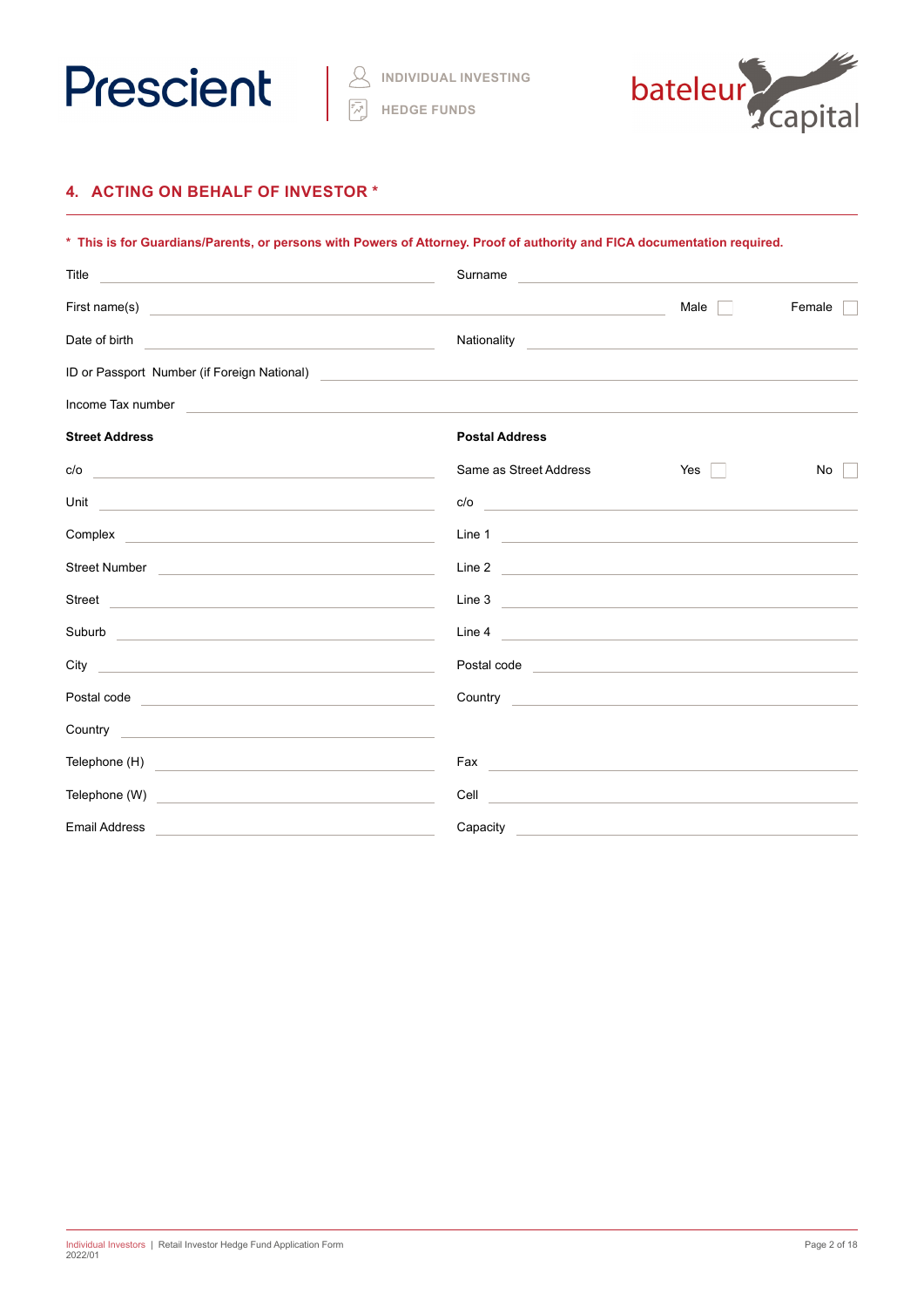



# **4. ACTING ON BEHALF OF INVESTOR \***

| * This is for Guardians/Parents, or persons with Powers of Attorney. Proof of authority and FICA documentation required.                                                                                                             |                                                                                                                                                                                                                                      |                                                           |        |  |  |  |
|--------------------------------------------------------------------------------------------------------------------------------------------------------------------------------------------------------------------------------------|--------------------------------------------------------------------------------------------------------------------------------------------------------------------------------------------------------------------------------------|-----------------------------------------------------------|--------|--|--|--|
| Title<br><u> 1989 - Johann John Stein, markin fan it ferskearre fan it ferskearre fan it ferskearre fan it ferskearre fan</u>                                                                                                        | Surname                                                                                                                                                                                                                              | <u> 1980 - Jan Sterlinger, fransk politiker (d. 1980)</u> |        |  |  |  |
|                                                                                                                                                                                                                                      |                                                                                                                                                                                                                                      | Male                                                      | Female |  |  |  |
| Date of birth<br>the control of the control of the control of the control of the control of the control of                                                                                                                           | Nationality                                                                                                                                                                                                                          |                                                           |        |  |  |  |
| ID or Passport Number (if Foreign National)                                                                                                                                                                                          | <u> 1980 - John Stein, mars and de Britain and de Britain and de Britain and de Britain and de Britain and de Br</u>                                                                                                                 |                                                           |        |  |  |  |
| Income Tax number                                                                                                                                                                                                                    |                                                                                                                                                                                                                                      |                                                           |        |  |  |  |
| <b>Street Address</b>                                                                                                                                                                                                                | <b>Postal Address</b>                                                                                                                                                                                                                |                                                           |        |  |  |  |
| c/o<br><u> 1989 - Johann Stoff, deutscher Stoff, der Stoff, der Stoff, der Stoff, der Stoff, der Stoff, der Stoff, der S</u>                                                                                                         | Same as Street Address                                                                                                                                                                                                               | Yes                                                       | No     |  |  |  |
| Unit<br><u> 1989 - Andrea State Barbara, amerikan personal di sebagai personal di sebagai personal di sebagai personal d</u>                                                                                                         | c/o                                                                                                                                                                                                                                  |                                                           |        |  |  |  |
|                                                                                                                                                                                                                                      | Line 1                                                                                                                                                                                                                               |                                                           |        |  |  |  |
| Street Number <b>Constant Construction Construction</b>                                                                                                                                                                              | Line 2                                                                                                                                                                                                                               |                                                           |        |  |  |  |
| Street <b>Street Street Street Street Street Street Street Street Street</b>                                                                                                                                                         | Line 3                                                                                                                                                                                                                               |                                                           |        |  |  |  |
| Suburb and the state of the state of the state of the state of the state of the state of the state of the state of the state of the state of the state of the state of the state of the state of the state of the state of the       | Line 4                                                                                                                                                                                                                               |                                                           |        |  |  |  |
| City and the contract of the contract of the contract of the contract of the contract of the contract of the contract of the contract of the contract of the contract of the contract of the contract of the contract of the c       | Postal code <u>expression and the set of the set of the set of the set of the set of the set of the set of the set of the set of the set of the set of the set of the set of the set of the set of the set of the set of the set</u> |                                                           |        |  |  |  |
| Postal code <b>Provided and Contract and Contract and Contract and Contract and Contract and Contract and Contract and Contract and Contract and Contract and Contract and Contract and Contract and Contract and Contract and C</b> | Country <b>Countries and Countries and Countries and Countries and Countries and Countries and Countries and Countries</b>                                                                                                           |                                                           |        |  |  |  |
|                                                                                                                                                                                                                                      |                                                                                                                                                                                                                                      |                                                           |        |  |  |  |
| Telephone (H) <u>contract and the set of the set of the set of the set of the set of the set of the set of the set of the set of the set of the set of the set of the set of the set of the set of the set of the set of the set</u> | Fax experience and a series of the series of the series of the series of the series of the series of the series                                                                                                                      |                                                           |        |  |  |  |
| Telephone (W)<br><u> 1989 - Johann Harry Harry Harry Harry Harry Harry Harry Harry Harry Harry Harry Harry Harry Harry Harry Harry</u>                                                                                               |                                                                                                                                                                                                                                      |                                                           |        |  |  |  |
| <b>Email Address</b>                                                                                                                                                                                                                 | Capacity <b>Capacity</b>                                                                                                                                                                                                             |                                                           |        |  |  |  |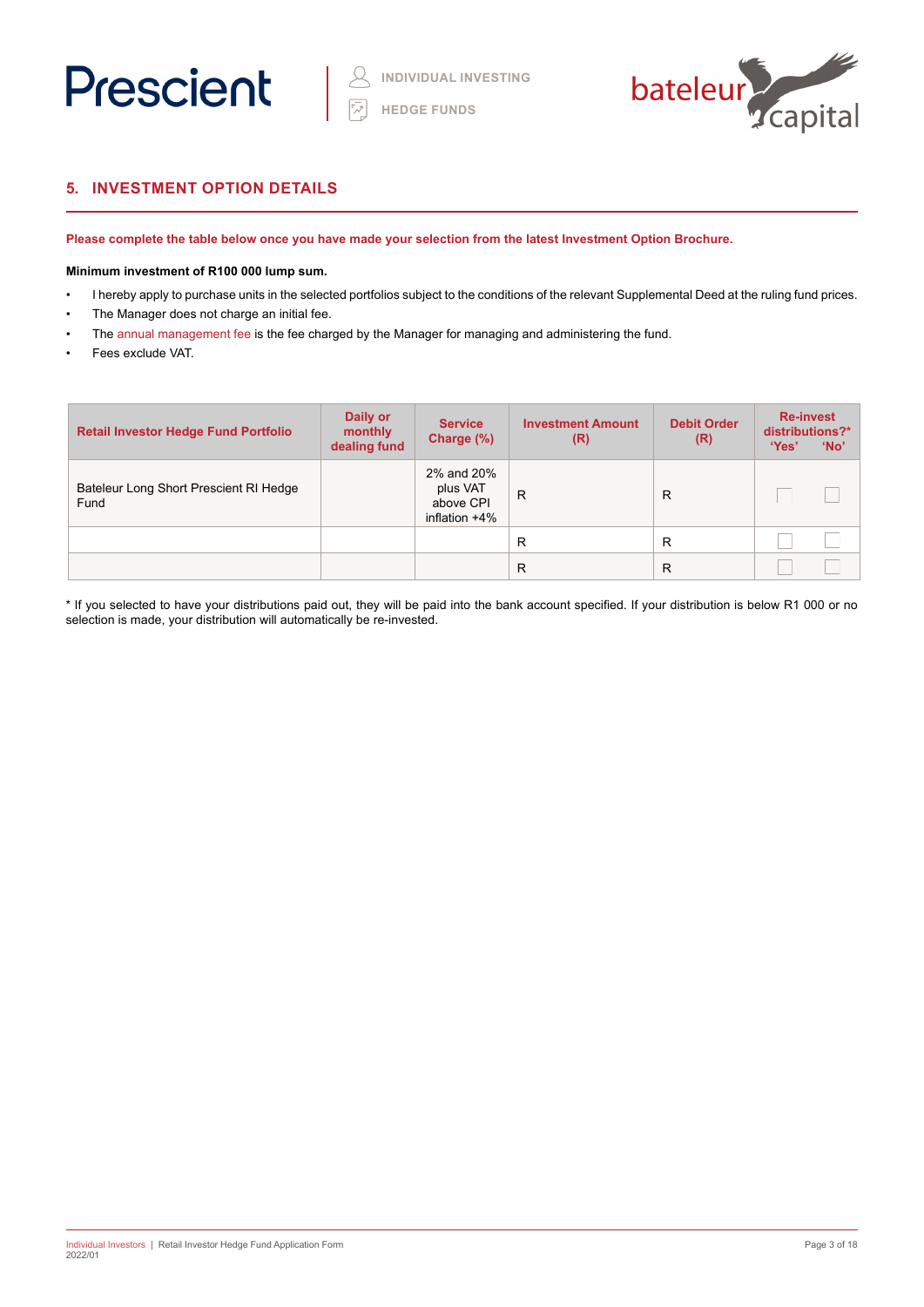



# **5. INVESTMENT OPTION DETAILS**

**Please complete the table below once you have made your selection from the latest Investment Option Brochure.** 

# **Minimum investment of R100 000 lump sum.**

- I hereby apply to purchase units in the selected portfolios subject to the conditions of the relevant Supplemental Deed at the ruling fund prices.
- The Manager does not charge an initial fee.
- The annual management fee is the fee charged by the Manager for managing and administering the fund.
- Fees exclude VAT.

| <b>Retail Investor Hedge Fund Portfolio</b>    | Daily or<br>monthly<br>dealing fund | <b>Service</b><br>Charge (%)                            | <b>Investment Amount</b><br>(R) | <b>Debit Order</b><br>(R) | <b>Re-invest</b><br>distributions?*<br>'Yes'<br>'No' |  |
|------------------------------------------------|-------------------------------------|---------------------------------------------------------|---------------------------------|---------------------------|------------------------------------------------------|--|
| Bateleur Long Short Prescient RI Hedge<br>Fund |                                     | 2% and 20%<br>plus VAT<br>above CPI<br>inflation $+4\%$ | $\mathsf{R}$                    | R                         |                                                      |  |
|                                                |                                     |                                                         | R                               | R                         |                                                      |  |
|                                                |                                     |                                                         | R                               | R                         |                                                      |  |

\* If you selected to have your distributions paid out, they will be paid into the bank account specified. If your distribution is below R1 000 or no selection is made, your distribution will automatically be re-invested.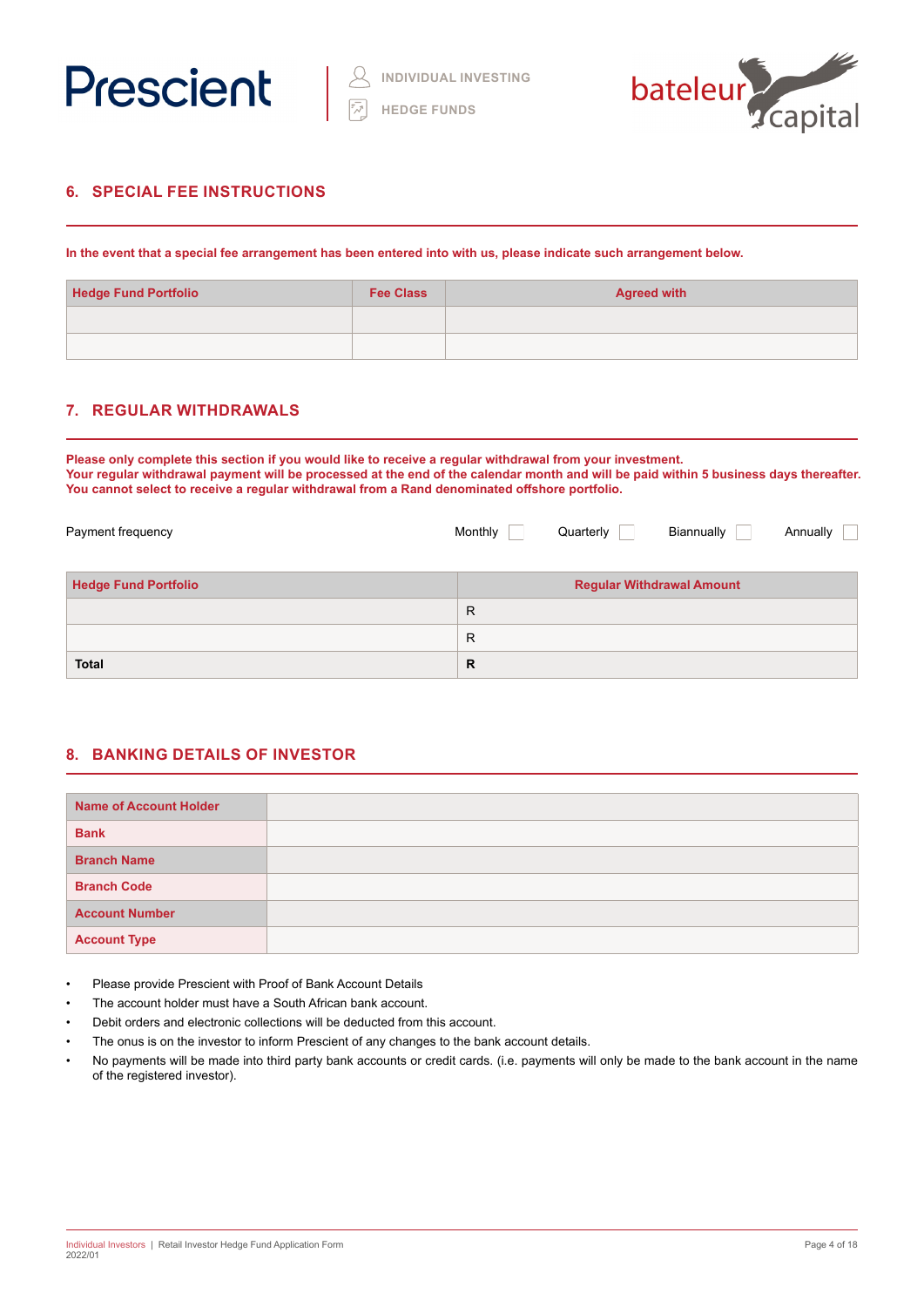



# **6. SPECIAL FEE INSTRUCTIONS**

**In the event that a special fee arrangement has been entered into with us, please indicate such arrangement below.**

| <b>Hedge Fund Portfolio</b> | <b>Fee Class</b> | <b>Agreed with</b> |
|-----------------------------|------------------|--------------------|
|                             |                  |                    |
|                             |                  |                    |

# **7. REGULAR WITHDRAWALS**

**Please only complete this section if you would like to receive a regular withdrawal from your investment. Your regular withdrawal payment will be processed at the end of the calendar month and will be paid within 5 business days thereafter. You cannot select to receive a regular withdrawal from a Rand denominated offshore portfolio.**

| Payment frequency           | Monthly      | Quarterly | Biannually                       | Annually |
|-----------------------------|--------------|-----------|----------------------------------|----------|
| <b>Hedge Fund Portfolio</b> |              |           | <b>Regular Withdrawal Amount</b> |          |
|                             | $\mathsf{R}$ |           |                                  |          |
|                             | $\mathsf{R}$ |           |                                  |          |
| <b>Total</b>                | R            |           |                                  |          |

# **8. BANKING DETAILS OF INVESTOR**

| <b>Name of Account Holder</b> |  |
|-------------------------------|--|
| <b>Bank</b>                   |  |
| <b>Branch Name</b>            |  |
| <b>Branch Code</b>            |  |
| <b>Account Number</b>         |  |
| <b>Account Type</b>           |  |

- Please provide Prescient with Proof of Bank Account Details
- The account holder must have a South African bank account.
- Debit orders and electronic collections will be deducted from this account.
- The onus is on the investor to inform Prescient of any changes to the bank account details.
- No payments will be made into third party bank accounts or credit cards. (i.e. payments will only be made to the bank account in the name of the registered investor).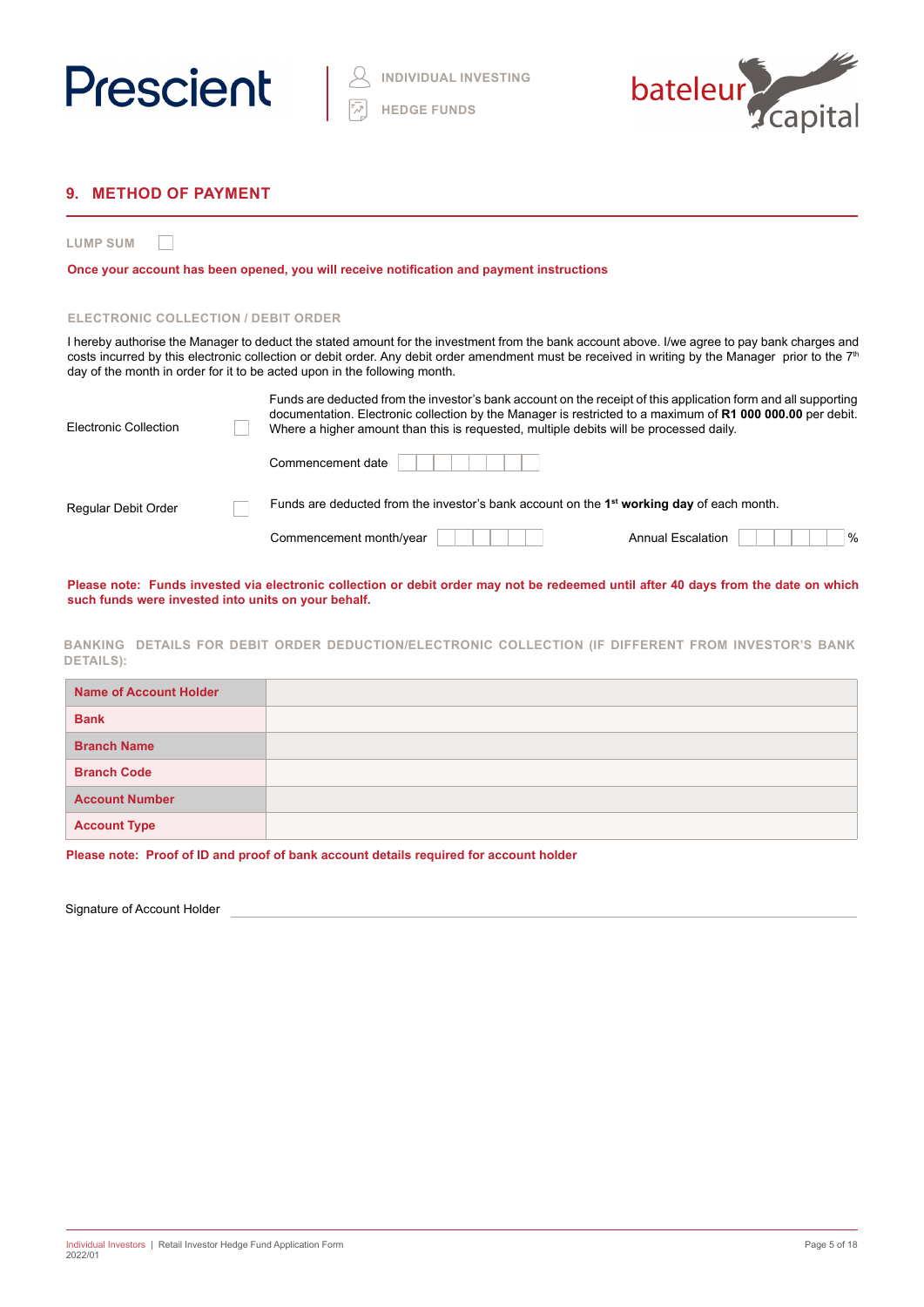



# **9. METHOD OF PAYMENT**

**LUMP SUM**  $\Box$ 

**Once your account has been opened, you will receive notification and payment instructions**

### **ELECTRONIC COLLECTION / DEBIT ORDER**

I hereby authorise the Manager to deduct the stated amount for the investment from the bank account above. I/we agree to pay bank charges and costs incurred by this electronic collection or debit order. Any debit order amendment must be received in writing by the Manager prior to the 7<sup>th</sup> day of the month in order for it to be acted upon in the following month.

| Electronic Collection | Funds are deducted from the investor's bank account on the receipt of this application form and all supporting<br>documentation. Electronic collection by the Manager is restricted to a maximum of R1 000 000.00 per debit.<br>Where a higher amount than this is requested, multiple debits will be processed daily. |
|-----------------------|------------------------------------------------------------------------------------------------------------------------------------------------------------------------------------------------------------------------------------------------------------------------------------------------------------------------|
|                       | Commencement date                                                                                                                                                                                                                                                                                                      |
| Regular Debit Order   | Funds are deducted from the investor's bank account on the 1 <sup>st</sup> working day of each month.                                                                                                                                                                                                                  |
|                       | $\%$<br>Commencement month/year<br><b>Annual Escalation</b>                                                                                                                                                                                                                                                            |

**Please note: Funds invested via electronic collection or debit order may not be redeemed until after 40 days from the date on which such funds were invested into units on your behalf.**

**BANKING DETAILS FOR DEBIT ORDER DEDUCTION/ELECTRONIC COLLECTION (IF DIFFERENT FROM INVESTOR'S BANK DETAILS):**

| <b>Name of Account Holder</b> |  |
|-------------------------------|--|
| <b>Bank</b>                   |  |
| <b>Branch Name</b>            |  |
| <b>Branch Code</b>            |  |
| <b>Account Number</b>         |  |
| <b>Account Type</b>           |  |

**Please note: Proof of ID and proof of bank account details required for account holder**

Signature of Account Holder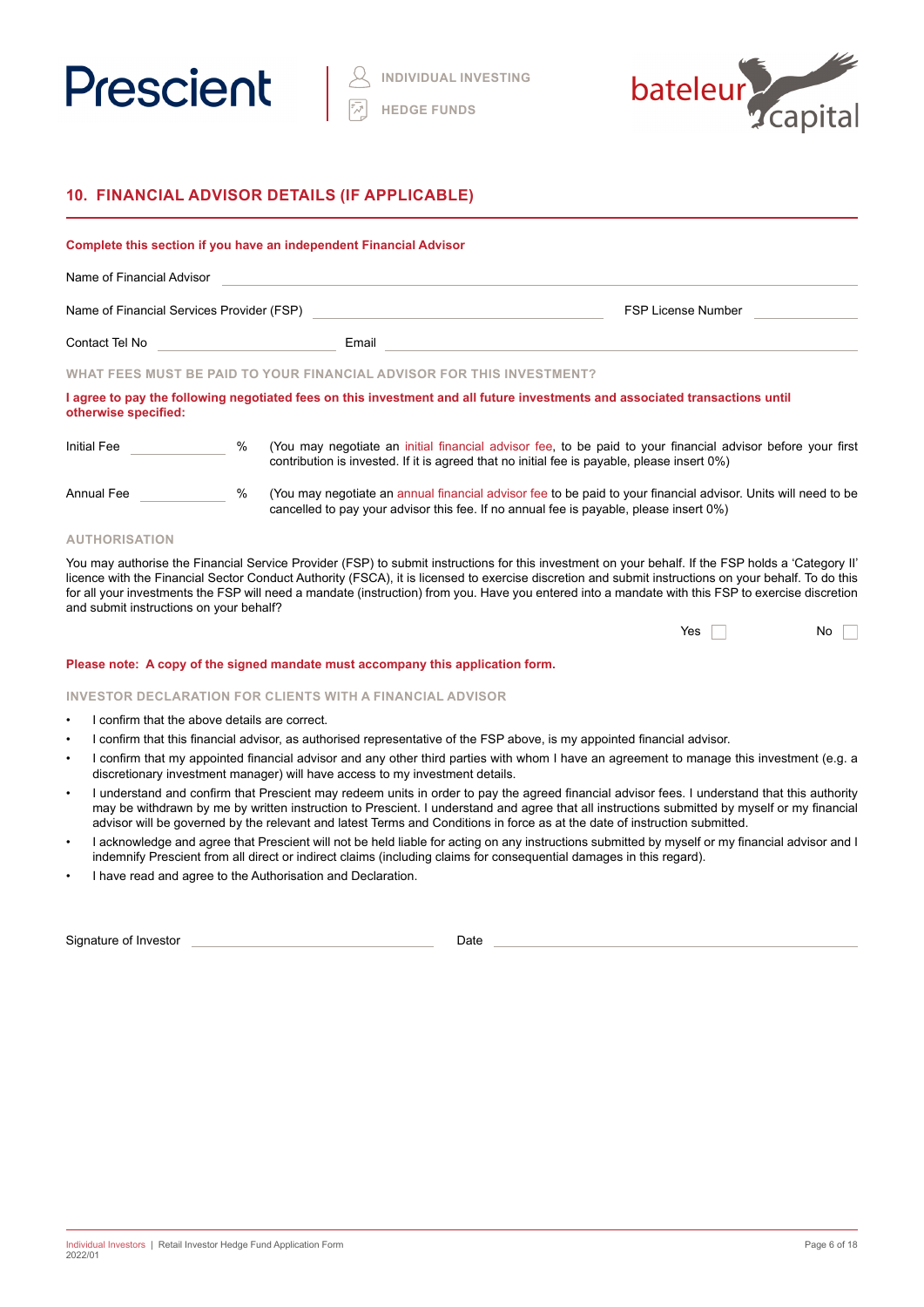



# **10. FINANCIAL ADVISOR DETAILS (IF APPLICABLE)**

|                                           |      | Complete this section if you have an independent Financial Advisor                                                                                                                                         |                           |
|-------------------------------------------|------|------------------------------------------------------------------------------------------------------------------------------------------------------------------------------------------------------------|---------------------------|
| Name of Financial Advisor                 |      |                                                                                                                                                                                                            |                           |
| Name of Financial Services Provider (FSP) |      |                                                                                                                                                                                                            | <b>FSP License Number</b> |
| Contact Tel No                            |      | Email                                                                                                                                                                                                      |                           |
|                                           |      | WHAT FEES MUST BE PAID TO YOUR FINANCIAL ADVISOR FOR THIS INVESTMENT?                                                                                                                                      |                           |
| otherwise specified:                      |      | I agree to pay the following negotiated fees on this investment and all future investments and associated transactions until                                                                               |                           |
| Initial Fee                               | $\%$ | (You may negotiate an initial financial advisor fee, to be paid to your financial advisor before your first<br>contribution is invested. If it is agreed that no initial fee is payable, please insert 0%) |                           |
| Annual Fee                                | %    | (You may negotiate an annual financial advisor fee to be paid to your financial advisor. Units will need to be<br>cancelled to pay your advisor this fee. If no annual fee is payable, please insert 0%)   |                           |

# **AUTHORISATION**

You may authorise the Financial Service Provider (FSP) to submit instructions for this investment on your behalf. If the FSP holds a 'Category II' licence with the Financial Sector Conduct Authority (FSCA), it is licensed to exercise discretion and submit instructions on your behalf. To do this for all your investments the FSP will need a mandate (instruction) from you. Have you entered into a mandate with this FSP to exercise discretion and submit instructions on your behalf?

| Yes | $\overline{\mathsf{No}}$ |
|-----|--------------------------|
|     |                          |

### **Please note: A copy of the signed mandate must accompany this application form.**

### **INVESTOR DECLARATION FOR CLIENTS WITH A FINANCIAL ADVISOR**

- I confirm that the above details are correct.
- I confirm that this financial advisor, as authorised representative of the FSP above, is my appointed financial advisor.
- I confirm that my appointed financial advisor and any other third parties with whom I have an agreement to manage this investment (e.g. a discretionary investment manager) will have access to my investment details.
- I understand and confirm that Prescient may redeem units in order to pay the agreed financial advisor fees. I understand that this authority may be withdrawn by me by written instruction to Prescient. I understand and agree that all instructions submitted by myself or my financial advisor will be governed by the relevant and latest Terms and Conditions in force as at the date of instruction submitted.
- I acknowledge and agree that Prescient will not be held liable for acting on any instructions submitted by myself or my financial advisor and I indemnify Prescient from all direct or indirect claims (including claims for consequential damages in this regard).
- I have read and agree to the Authorisation and Declaration.

Signature of Investor Date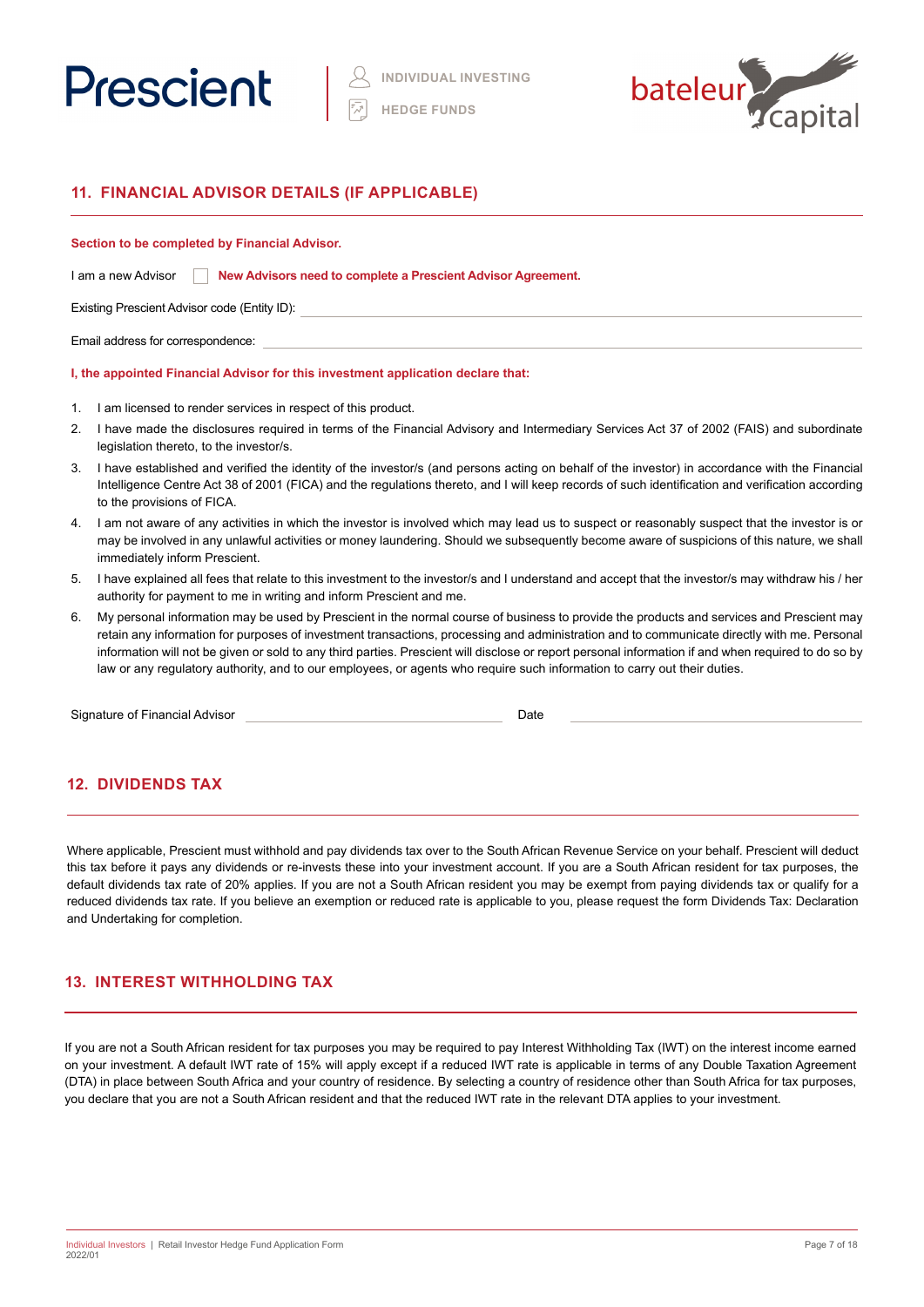



# **11. FINANCIAL ADVISOR DETAILS (IF APPLICABLE)**

## **Section to be completed by Financial Advisor.**

Existing Prescient Advisor code (Entity ID):

Email address for correspondence:

### **I, the appointed Financial Advisor for this investment application declare that:**

- 1. I am licensed to render services in respect of this product.
- 2. I have made the disclosures required in terms of the Financial Advisory and Intermediary Services Act 37 of 2002 (FAIS) and subordinate legislation thereto, to the investor/s.
- 3. I have established and verified the identity of the investor/s (and persons acting on behalf of the investor) in accordance with the Financial Intelligence Centre Act 38 of 2001 (FICA) and the regulations thereto, and I will keep records of such identification and verification according to the provisions of FICA.
- 4. I am not aware of any activities in which the investor is involved which may lead us to suspect or reasonably suspect that the investor is or may be involved in any unlawful activities or money laundering. Should we subsequently become aware of suspicions of this nature, we shall immediately inform Prescient.
- 5. I have explained all fees that relate to this investment to the investor/s and I understand and accept that the investor/s may withdraw his / her authority for payment to me in writing and inform Prescient and me.
- 6. My personal information may be used by Prescient in the normal course of business to provide the products and services and Prescient may retain any information for purposes of investment transactions, processing and administration and to communicate directly with me. Personal information will not be given or sold to any third parties. Prescient will disclose or report personal information if and when required to do so by law or any regulatory authority, and to our employees, or agents who require such information to carry out their duties.

Signature of Financial Advisor **Date Date** Date **Date Date** 

# **12. DIVIDENDS TAX**

Where applicable, Prescient must withhold and pay dividends tax over to the South African Revenue Service on your behalf. Prescient will deduct this tax before it pays any dividends or re-invests these into your investment account. If you are a South African resident for tax purposes, the default dividends tax rate of 20% applies. If you are not a South African resident you may be exempt from paying dividends tax or qualify for a reduced dividends tax rate. If you believe an exemption or reduced rate is applicable to you, please request the form Dividends Tax: Declaration and Undertaking for completion.

# **13. INTEREST WITHHOLDING TAX**

If you are not a South African resident for tax purposes you may be required to pay Interest Withholding Tax (IWT) on the interest income earned on your investment. A default IWT rate of 15% will apply except if a reduced IWT rate is applicable in terms of any Double Taxation Agreement (DTA) in place between South Africa and your country of residence. By selecting a country of residence other than South Africa for tax purposes, you declare that you are not a South African resident and that the reduced IWT rate in the relevant DTA applies to your investment.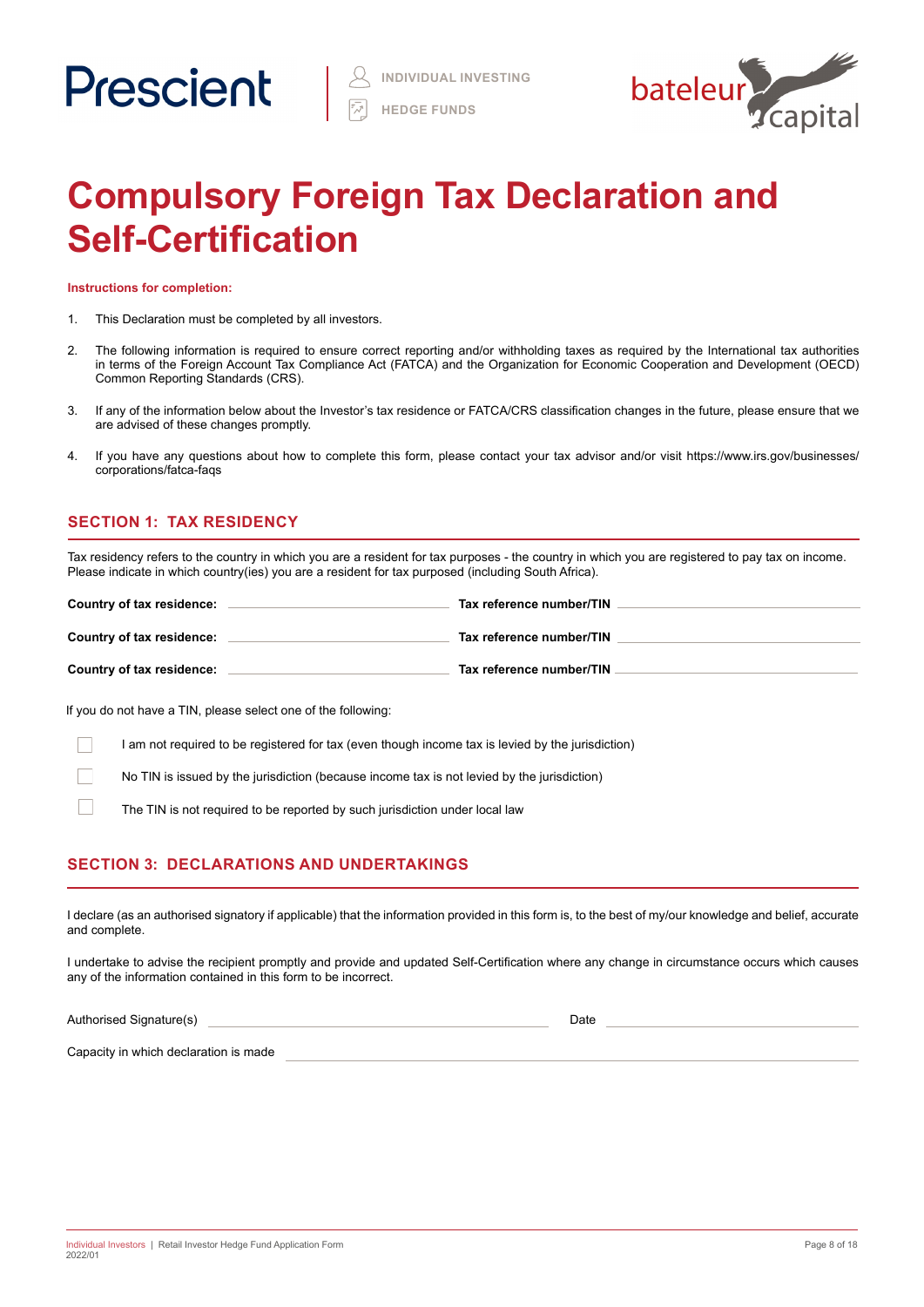

# **Compulsory Foreign Tax Declaration and Self-Certification**

**Instructions for completion:**

- 1. This Declaration must be completed by all investors.
- 2. The following information is required to ensure correct reporting and/or withholding taxes as required by the International tax authorities in terms of the Foreign Account Tax Compliance Act (FATCA) and the Organization for Economic Cooperation and Development (OECD) Common Reporting Standards (CRS).
- 3. If any of the information below about the Investor's tax residence or FATCA/CRS classification changes in the future, please ensure that we are advised of these changes promptly.
- 4. If you have any questions about how to complete this form, please contact your tax advisor and/or visit https://www.irs.gov/businesses/ corporations/fatca-faqs

# **SECTION 1: TAX RESIDENCY**

Tax residency refers to the country in which you are a resident for tax purposes - the country in which you are registered to pay tax on income. Please indicate in which country(ies) you are a resident for tax purposed (including South Africa).

| Country of tax residence: | Tax reference number/TIN |
|---------------------------|--------------------------|
| Country of tax residence: | Tax reference number/TIN |
| Country of tax residence: | Tax reference number/TIN |

If you do not have a TIN, please select one of the following:

I am not required to be registered for tax (even though income tax is levied by the jurisdiction)

No TIN is issued by the jurisdiction (because income tax is not levied by the jurisdiction)

The TIN is not required to be reported by such jurisdiction under local law

# **SECTION 3: DECLARATIONS AND UNDERTAKINGS**

I declare (as an authorised signatory if applicable) that the information provided in this form is, to the best of my/our knowledge and belief, accurate and complete.

I undertake to advise the recipient promptly and provide and updated Self-Certification where any change in circumstance occurs which causes any of the information contained in this form to be incorrect.

Authorised Signature(s) and the state of the state of the state of the state of the Date of the Date of the Date

Capacity in which declaration is made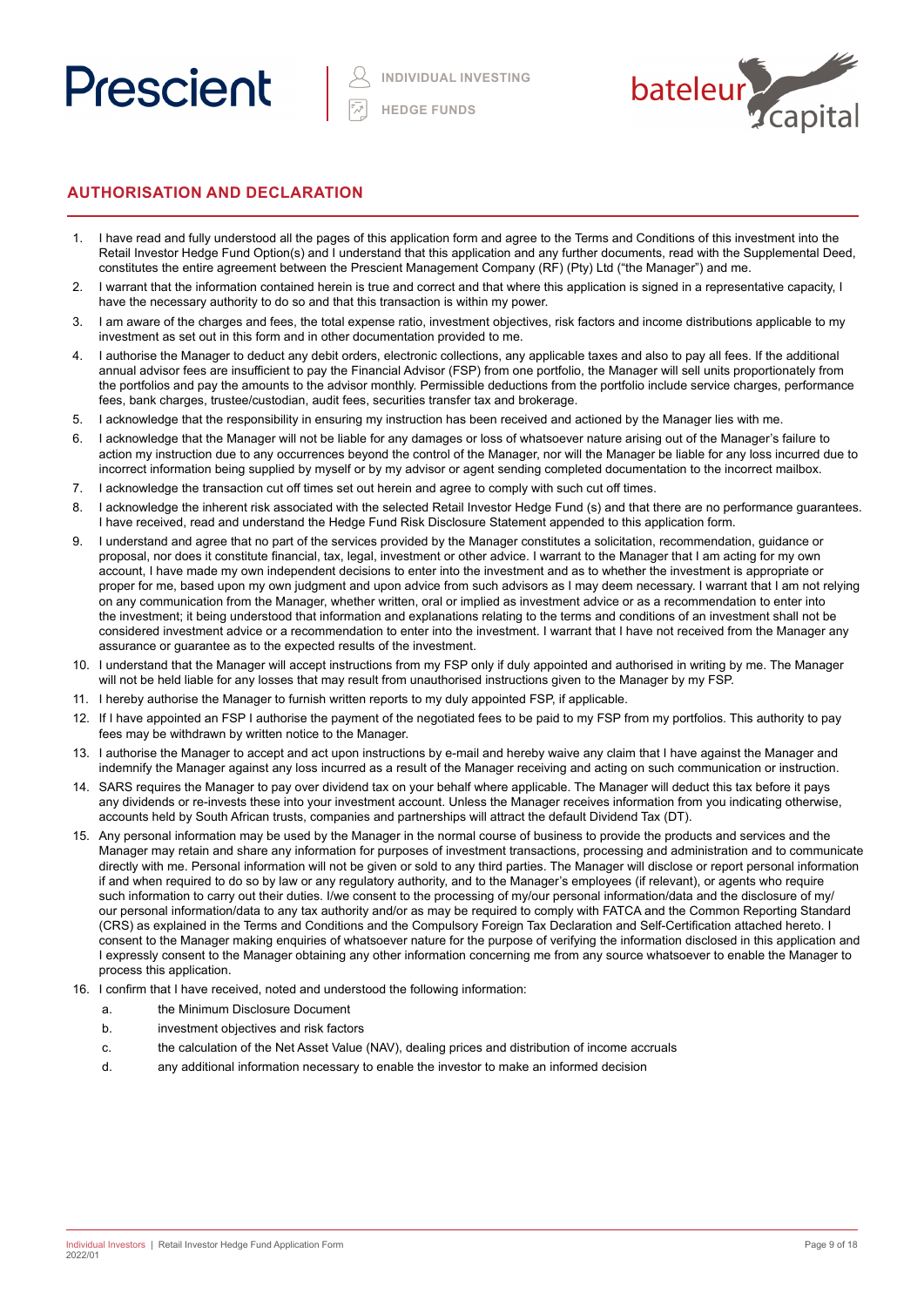



# **AUTHORISATION AND DECLARATION**

- 1. I have read and fully understood all the pages of this application form and agree to the Terms and Conditions of this investment into the Retail Investor Hedge Fund Option(s) and I understand that this application and any further documents, read with the Supplemental Deed, constitutes the entire agreement between the Prescient Management Company (RF) (Pty) Ltd ("the Manager") and me.
- 2. I warrant that the information contained herein is true and correct and that where this application is signed in a representative capacity, I have the necessary authority to do so and that this transaction is within my power.
- 3. I am aware of the charges and fees, the total expense ratio, investment objectives, risk factors and income distributions applicable to my investment as set out in this form and in other documentation provided to me.
- 4. I authorise the Manager to deduct any debit orders, electronic collections, any applicable taxes and also to pay all fees. If the additional annual advisor fees are insufficient to pay the Financial Advisor (FSP) from one portfolio, the Manager will sell units proportionately from the portfolios and pay the amounts to the advisor monthly. Permissible deductions from the portfolio include service charges, performance fees, bank charges, trustee/custodian, audit fees, securities transfer tax and brokerage.
- 5. I acknowledge that the responsibility in ensuring my instruction has been received and actioned by the Manager lies with me.
- 6. I acknowledge that the Manager will not be liable for any damages or loss of whatsoever nature arising out of the Manager's failure to action my instruction due to any occurrences beyond the control of the Manager, nor will the Manager be liable for any loss incurred due to incorrect information being supplied by myself or by my advisor or agent sending completed documentation to the incorrect mailbox.
- 7. I acknowledge the transaction cut off times set out herein and agree to comply with such cut off times.
- 8. I acknowledge the inherent risk associated with the selected Retail Investor Hedge Fund (s) and that there are no performance guarantees. I have received, read and understand the Hedge Fund Risk Disclosure Statement appended to this application form.
- 9. I understand and agree that no part of the services provided by the Manager constitutes a solicitation, recommendation, guidance or proposal, nor does it constitute financial, tax, legal, investment or other advice. I warrant to the Manager that I am acting for my own account, I have made my own independent decisions to enter into the investment and as to whether the investment is appropriate or proper for me, based upon my own judgment and upon advice from such advisors as I may deem necessary. I warrant that I am not relying on any communication from the Manager, whether written, oral or implied as investment advice or as a recommendation to enter into the investment; it being understood that information and explanations relating to the terms and conditions of an investment shall not be considered investment advice or a recommendation to enter into the investment. I warrant that I have not received from the Manager any assurance or guarantee as to the expected results of the investment.
- 10. I understand that the Manager will accept instructions from my FSP only if duly appointed and authorised in writing by me. The Manager will not be held liable for any losses that may result from unauthorised instructions given to the Manager by my FSP.
- 11. I hereby authorise the Manager to furnish written reports to my duly appointed FSP, if applicable.
- 12. If I have appointed an FSP I authorise the payment of the negotiated fees to be paid to my FSP from my portfolios. This authority to pay fees may be withdrawn by written notice to the Manager.
- 13. I authorise the Manager to accept and act upon instructions by e-mail and hereby waive any claim that I have against the Manager and indemnify the Manager against any loss incurred as a result of the Manager receiving and acting on such communication or instruction.
- 14. SARS requires the Manager to pay over dividend tax on your behalf where applicable. The Manager will deduct this tax before it pays any dividends or re-invests these into your investment account. Unless the Manager receives information from you indicating otherwise, accounts held by South African trusts, companies and partnerships will attract the default Dividend Tax (DT).
- 15. Any personal information may be used by the Manager in the normal course of business to provide the products and services and the Manager may retain and share any information for purposes of investment transactions, processing and administration and to communicate directly with me. Personal information will not be given or sold to any third parties. The Manager will disclose or report personal information if and when required to do so by law or any regulatory authority, and to the Manager's employees (if relevant), or agents who require such information to carry out their duties. I/we consent to the processing of my/our personal information/data and the disclosure of my/ our personal information/data to any tax authority and/or as may be required to comply with FATCA and the Common Reporting Standard (CRS) as explained in the Terms and Conditions and the Compulsory Foreign Tax Declaration and Self-Certification attached hereto. I consent to the Manager making enquiries of whatsoever nature for the purpose of verifying the information disclosed in this application and I expressly consent to the Manager obtaining any other information concerning me from any source whatsoever to enable the Manager to process this application.
- 16. I confirm that I have received, noted and understood the following information:
	- a. the Minimum Disclosure Document
	- b. investment objectives and risk factors
	- c. the calculation of the Net Asset Value (NAV), dealing prices and distribution of income accruals
	- d. any additional information necessary to enable the investor to make an informed decision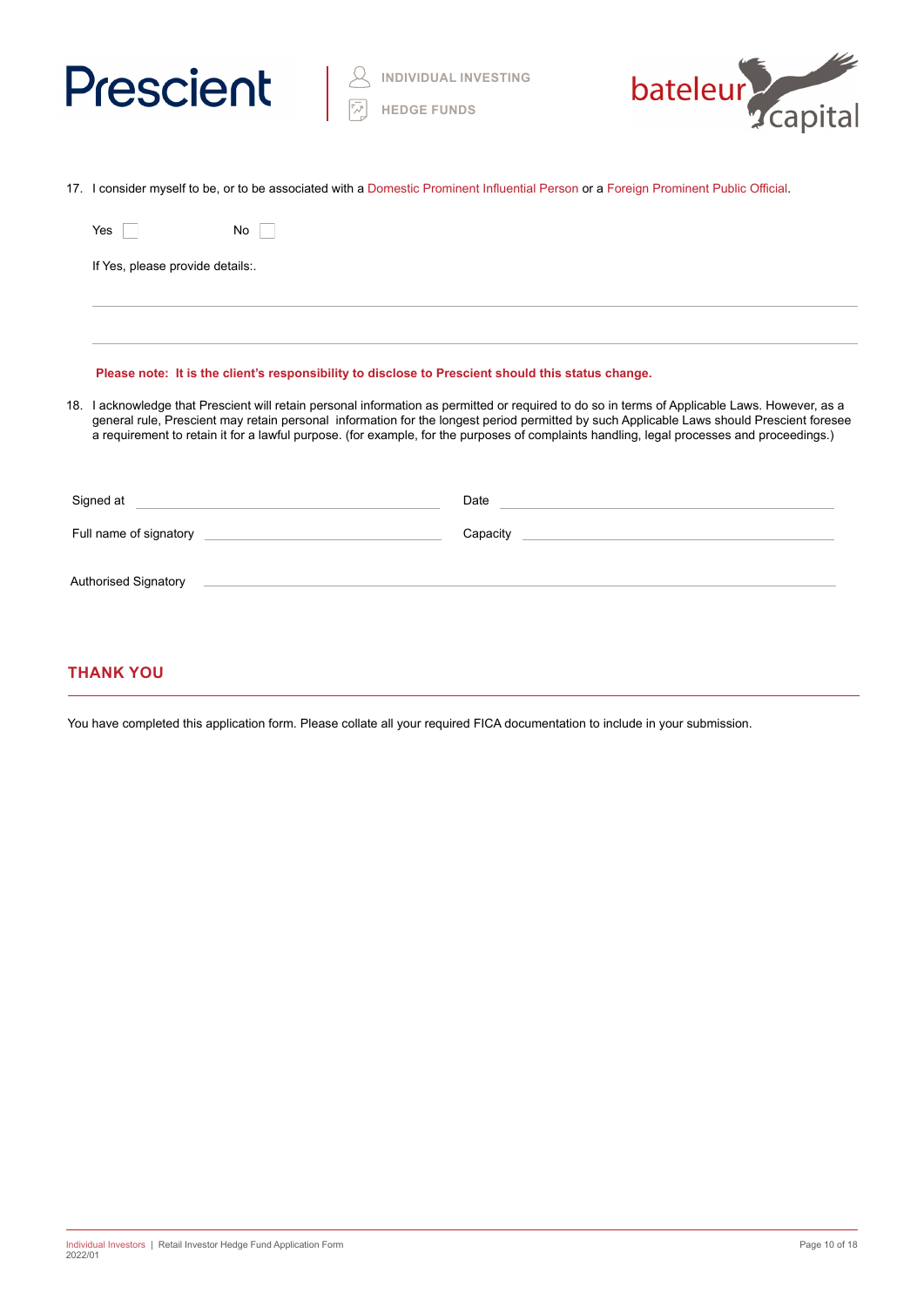



17. I consider myself to be, or to be associated with a Domestic Prominent Influential Person or a Foreign Prominent Public Official.

|                                                                                                                                                                                                                                                                                                                                                                                                                                          | Yes                              | No.                                                                                                                                                                                                                                                                                                                                                                                                                                                                    |  |
|------------------------------------------------------------------------------------------------------------------------------------------------------------------------------------------------------------------------------------------------------------------------------------------------------------------------------------------------------------------------------------------------------------------------------------------|----------------------------------|------------------------------------------------------------------------------------------------------------------------------------------------------------------------------------------------------------------------------------------------------------------------------------------------------------------------------------------------------------------------------------------------------------------------------------------------------------------------|--|
|                                                                                                                                                                                                                                                                                                                                                                                                                                          | If Yes, please provide details:. |                                                                                                                                                                                                                                                                                                                                                                                                                                                                        |  |
|                                                                                                                                                                                                                                                                                                                                                                                                                                          |                                  |                                                                                                                                                                                                                                                                                                                                                                                                                                                                        |  |
|                                                                                                                                                                                                                                                                                                                                                                                                                                          |                                  | Please note: It is the client's responsibility to disclose to Prescient should this status change.                                                                                                                                                                                                                                                                                                                                                                     |  |
| 18. I acknowledge that Prescient will retain personal information as permitted or required to do so in terms of Applicable Laws. However, as a<br>general rule, Prescient may retain personal information for the longest period permitted by such Applicable Laws should Prescient foresee<br>a requirement to retain it for a lawful purpose. (for example, for the purposes of complaints handling, legal processes and proceedings.) |                                  |                                                                                                                                                                                                                                                                                                                                                                                                                                                                        |  |
|                                                                                                                                                                                                                                                                                                                                                                                                                                          |                                  | Signed at <u>example and the set of the set of the set of the set of the set of the set of the set of the set of the set of the set of the set of the set of the set of the set of the set of the set of the set of the set of t</u><br>Date experience and the second contract of the second contract of the second contract of the second contract of the second contract of the second contract of the second contract of the second contract of the second contrac |  |
|                                                                                                                                                                                                                                                                                                                                                                                                                                          |                                  | Capacity Capacity Capacity                                                                                                                                                                                                                                                                                                                                                                                                                                             |  |
|                                                                                                                                                                                                                                                                                                                                                                                                                                          | Authorised Signatory             | <u> Andreas Andreas Andreas Andreas Andreas Andreas Andreas Andreas Andreas Andreas Andreas Andreas Andreas Andr</u>                                                                                                                                                                                                                                                                                                                                                   |  |
|                                                                                                                                                                                                                                                                                                                                                                                                                                          |                                  |                                                                                                                                                                                                                                                                                                                                                                                                                                                                        |  |

# **THANK YOU**

You have completed this application form. Please collate all your required FICA documentation to include in your submission.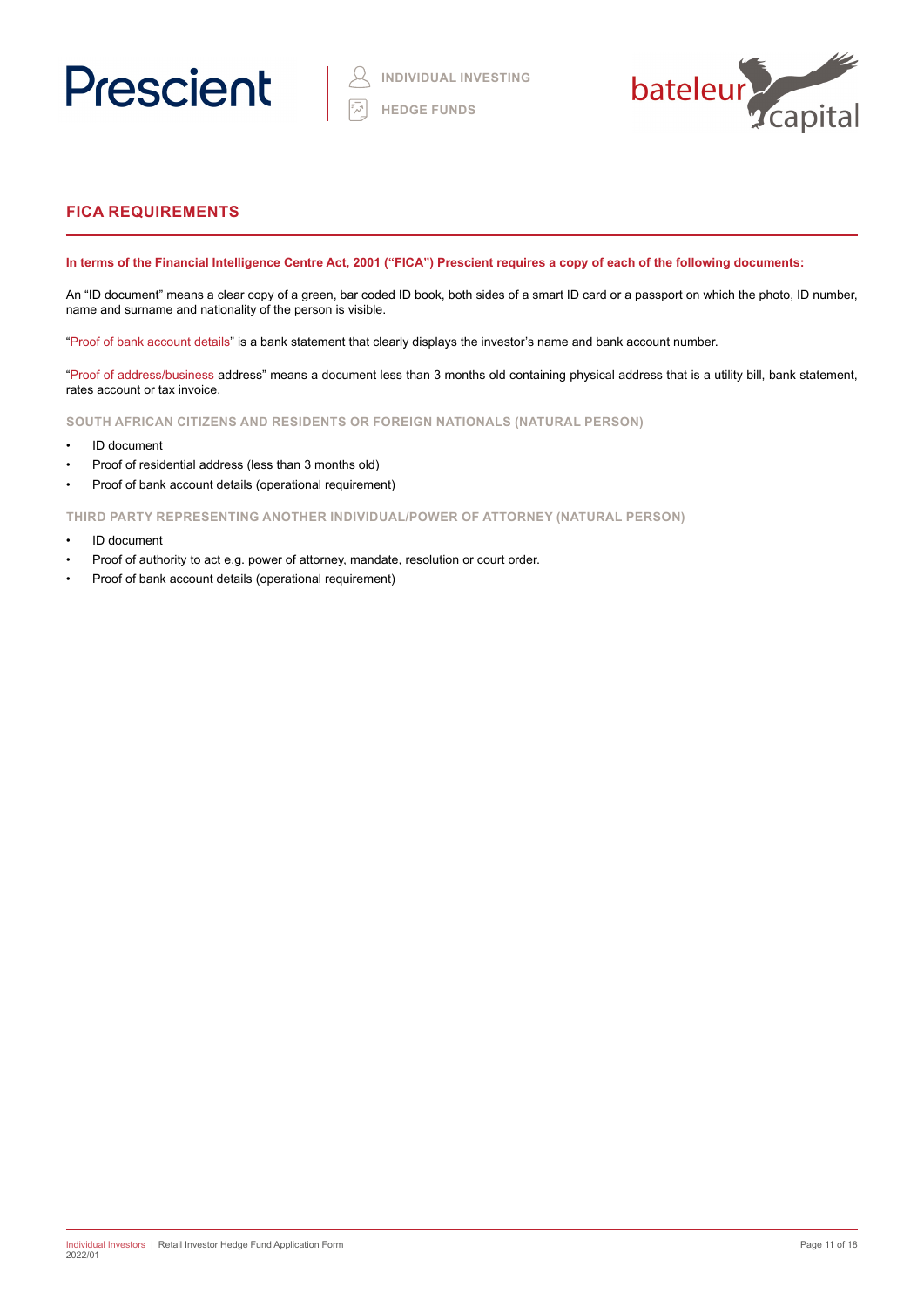



# **FICA REQUIREMENTS**

# **In terms of the Financial Intelligence Centre Act, 2001 ("FICA") Prescient requires a copy of each of the following documents:**

An "ID document" means a clear copy of a green, bar coded ID book, both sides of a smart ID card or a passport on which the photo, ID number, name and surname and nationality of the person is visible.

"Proof of bank account details" is a bank statement that clearly displays the investor's name and bank account number.

"Proof of address/business address" means a document less than 3 months old containing physical address that is a utility bill, bank statement, rates account or tax invoice.

**SOUTH AFRICAN CITIZENS AND RESIDENTS OR FOREIGN NATIONALS (NATURAL PERSON)**

- ID document
- Proof of residential address (less than 3 months old)
- Proof of bank account details (operational requirement)

**THIRD PARTY REPRESENTING ANOTHER INDIVIDUAL/POWER OF ATTORNEY (NATURAL PERSON)**

- ID document
- Proof of authority to act e.g. power of attorney, mandate, resolution or court order.
- Proof of bank account details (operational requirement)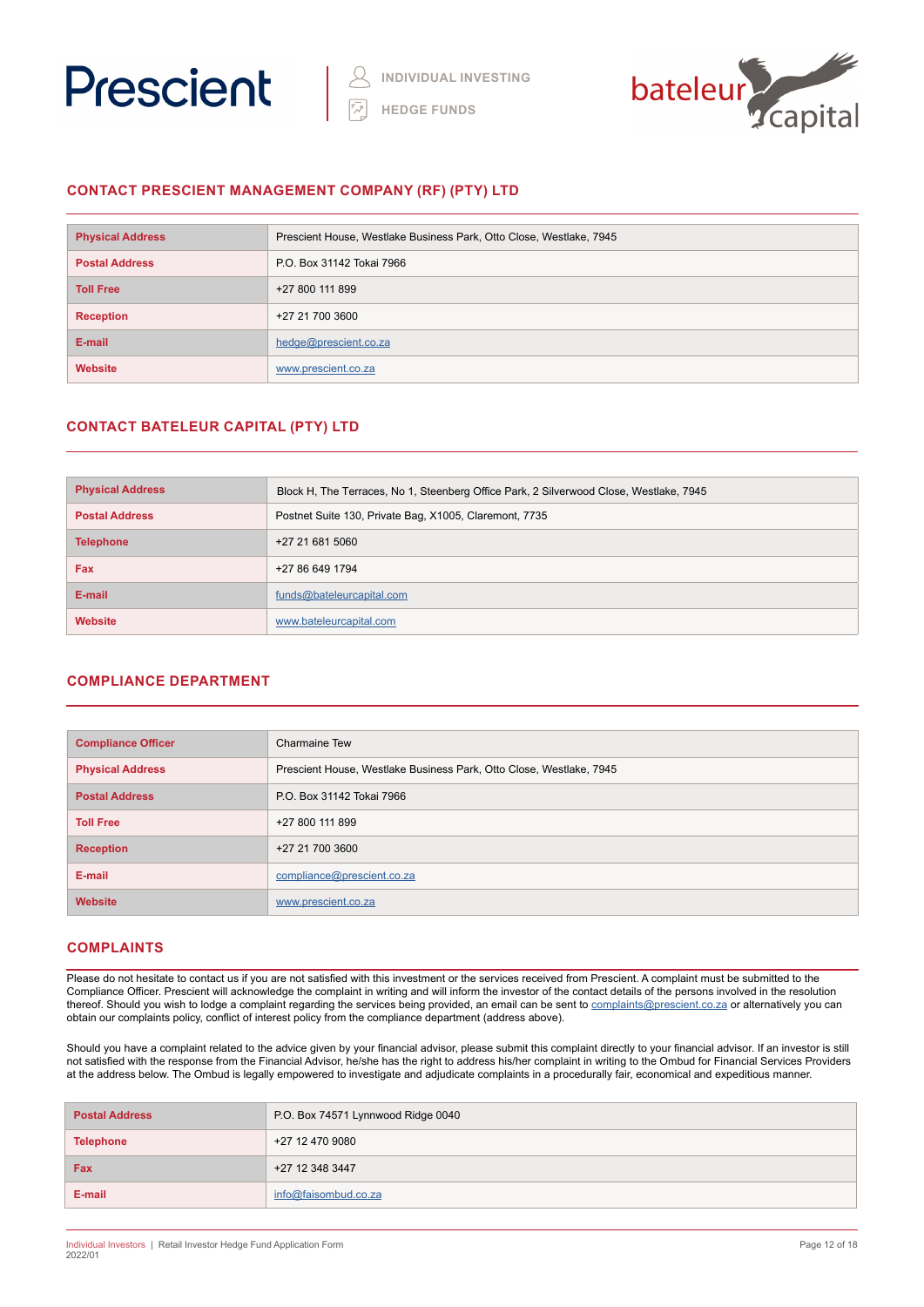



# **CONTACT PRESCIENT MANAGEMENT COMPANY (RF) (PTY) LTD**

| <b>Physical Address</b> | Prescient House, Westlake Business Park, Otto Close, Westlake, 7945 |
|-------------------------|---------------------------------------------------------------------|
| <b>Postal Address</b>   | P.O. Box 31142 Tokai 7966                                           |
| <b>Toll Free</b>        | +27 800 111 899                                                     |
| <b>Reception</b>        | +27 21 700 3600                                                     |
| E-mail                  | hedge@prescient.co.za                                               |
| <b>Website</b>          | www.prescient.co.za                                                 |

# **CONTACT BATELEUR CAPITAL (PTY) LTD**

| <b>Physical Address</b> | Block H, The Terraces, No 1, Steenberg Office Park, 2 Silverwood Close, Westlake, 7945 |
|-------------------------|----------------------------------------------------------------------------------------|
| <b>Postal Address</b>   | Postnet Suite 130, Private Bag, X1005, Claremont, 7735                                 |
| <b>Telephone</b>        | +27 21 681 5060                                                                        |
| <b>Fax</b>              | +27 86 649 1794                                                                        |
| E-mail                  | funds@bateleurcapital.com                                                              |
| Website                 | www.bateleurcapital.com                                                                |

# **COMPLIANCE DEPARTMENT**

| <b>Compliance Officer</b> | Charmaine Tew                                                       |
|---------------------------|---------------------------------------------------------------------|
| <b>Physical Address</b>   | Prescient House, Westlake Business Park, Otto Close, Westlake, 7945 |
| <b>Postal Address</b>     | P.O. Box 31142 Tokai 7966                                           |
| <b>Toll Free</b>          | +27 800 111 899                                                     |
| <b>Reception</b>          | +27 21 700 3600                                                     |
| E-mail                    | compliance@prescient.co.za                                          |
| <b>Website</b>            | www.prescient.co.za                                                 |

# **COMPLAINTS**

Please do not hesitate to contact us if you are not satisfied with this investment or the services received from Prescient. A complaint must be submitted to the Compliance Officer. Prescient will acknowledge the complaint in writing and will inform the investor of the contact details of the persons involved in the resolution thereof. Should you wish to lodge a complaint regarding the services being provided, an email can be sent to **[complaints@prescient.co.za](mailto:complaints%40prescient.co.za?subject=)** or alternatively you can obtain our complaints policy, conflict of interest policy from the compliance department (address above).

Should you have a complaint related to the advice given by your financial advisor, please submit this complaint directly to your financial advisor. If an investor is still not satisfied with the response from the Financial Advisor, he/she has the right to address his/her complaint in writing to the Ombud for Financial Services Providers at the address below. The Ombud is legally empowered to investigate and adjudicate complaints in a procedurally fair, economical and expeditious manner.

| <b>Postal Address</b> | P.O. Box 74571 Lynnwood Ridge 0040 |
|-----------------------|------------------------------------|
| <b>Telephone</b>      | +27 12 470 9080                    |
| Fax                   | +27 12 348 3447                    |
| E-mail                | info@faisombud.co.za               |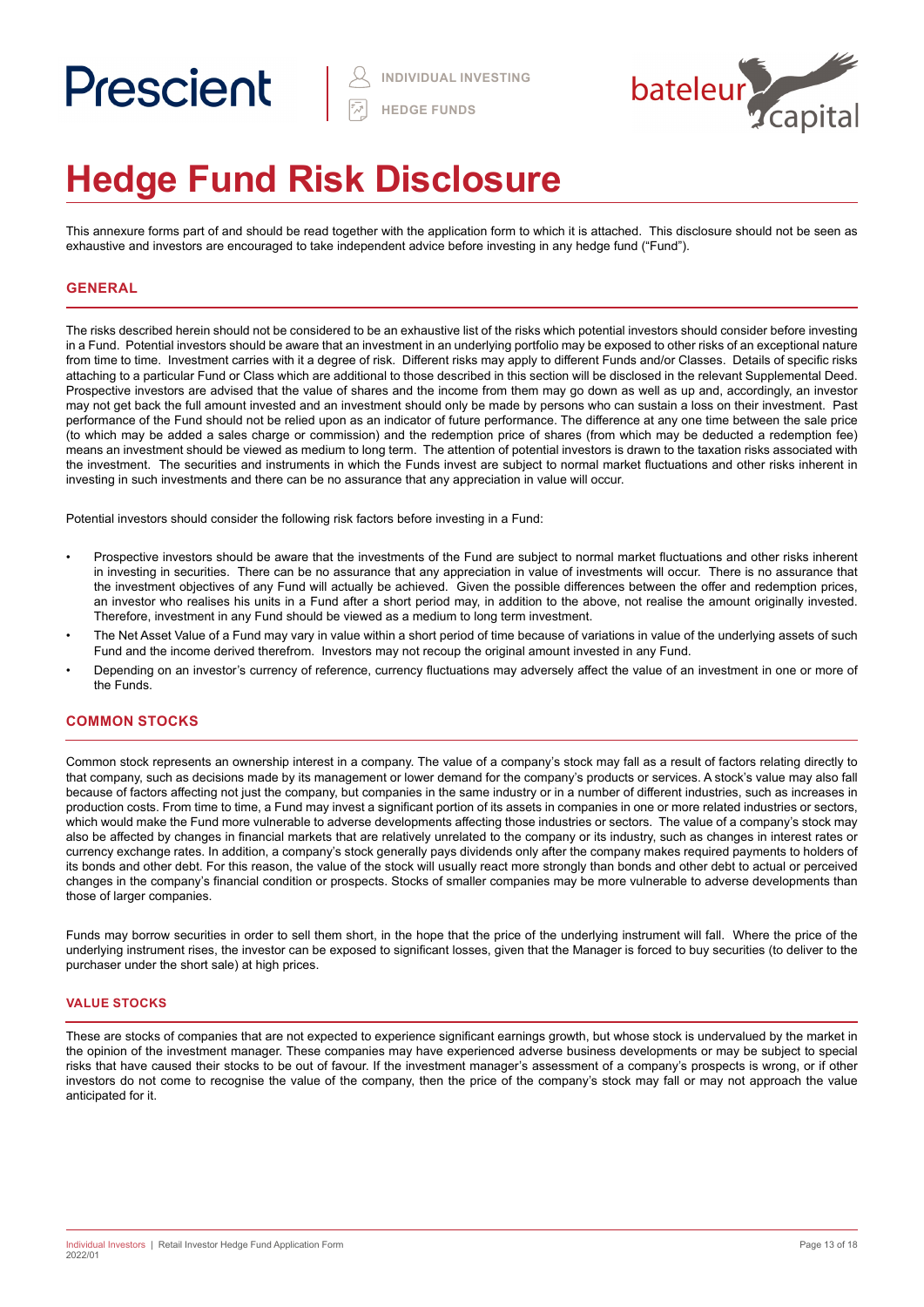# Prescient



# **Hedge Fund Risk Disclosure**

This annexure forms part of and should be read together with the application form to which it is attached. This disclosure should not be seen as exhaustive and investors are encouraged to take independent advice before investing in any hedge fund ("Fund").

# **GENERAL**

The risks described herein should not be considered to be an exhaustive list of the risks which potential investors should consider before investing in a Fund. Potential investors should be aware that an investment in an underlying portfolio may be exposed to other risks of an exceptional nature from time to time. Investment carries with it a degree of risk. Different risks may apply to different Funds and/or Classes. Details of specific risks attaching to a particular Fund or Class which are additional to those described in this section will be disclosed in the relevant Supplemental Deed. Prospective investors are advised that the value of shares and the income from them may go down as well as up and, accordingly, an investor may not get back the full amount invested and an investment should only be made by persons who can sustain a loss on their investment. Past performance of the Fund should not be relied upon as an indicator of future performance. The difference at any one time between the sale price (to which may be added a sales charge or commission) and the redemption price of shares (from which may be deducted a redemption fee) means an investment should be viewed as medium to long term. The attention of potential investors is drawn to the taxation risks associated with the investment. The securities and instruments in which the Funds invest are subject to normal market fluctuations and other risks inherent in investing in such investments and there can be no assurance that any appreciation in value will occur.

Potential investors should consider the following risk factors before investing in a Fund:

- Prospective investors should be aware that the investments of the Fund are subject to normal market fluctuations and other risks inherent in investing in securities. There can be no assurance that any appreciation in value of investments will occur. There is no assurance that the investment objectives of any Fund will actually be achieved. Given the possible differences between the offer and redemption prices, an investor who realises his units in a Fund after a short period may, in addition to the above, not realise the amount originally invested. Therefore, investment in any Fund should be viewed as a medium to long term investment.
- The Net Asset Value of a Fund may vary in value within a short period of time because of variations in value of the underlying assets of such Fund and the income derived therefrom. Investors may not recoup the original amount invested in any Fund.
- Depending on an investor's currency of reference, currency fluctuations may adversely affect the value of an investment in one or more of the Funds.

# **COMMON STOCKS**

Common stock represents an ownership interest in a company. The value of a company's stock may fall as a result of factors relating directly to that company, such as decisions made by its management or lower demand for the company's products or services. A stock's value may also fall because of factors affecting not just the company, but companies in the same industry or in a number of different industries, such as increases in production costs. From time to time, a Fund may invest a significant portion of its assets in companies in one or more related industries or sectors, which would make the Fund more vulnerable to adverse developments affecting those industries or sectors. The value of a company's stock may also be affected by changes in financial markets that are relatively unrelated to the company or its industry, such as changes in interest rates or currency exchange rates. In addition, a company's stock generally pays dividends only after the company makes required payments to holders of its bonds and other debt. For this reason, the value of the stock will usually react more strongly than bonds and other debt to actual or perceived changes in the company's financial condition or prospects. Stocks of smaller companies may be more vulnerable to adverse developments than those of larger companies.

Funds may borrow securities in order to sell them short, in the hope that the price of the underlying instrument will fall. Where the price of the underlying instrument rises, the investor can be exposed to significant losses, given that the Manager is forced to buy securities (to deliver to the purchaser under the short sale) at high prices.

## **VALUE STOCKS**

These are stocks of companies that are not expected to experience significant earnings growth, but whose stock is undervalued by the market in the opinion of the investment manager. These companies may have experienced adverse business developments or may be subject to special risks that have caused their stocks to be out of favour. If the investment manager's assessment of a company's prospects is wrong, or if other investors do not come to recognise the value of the company, then the price of the company's stock may fall or may not approach the value anticipated for it.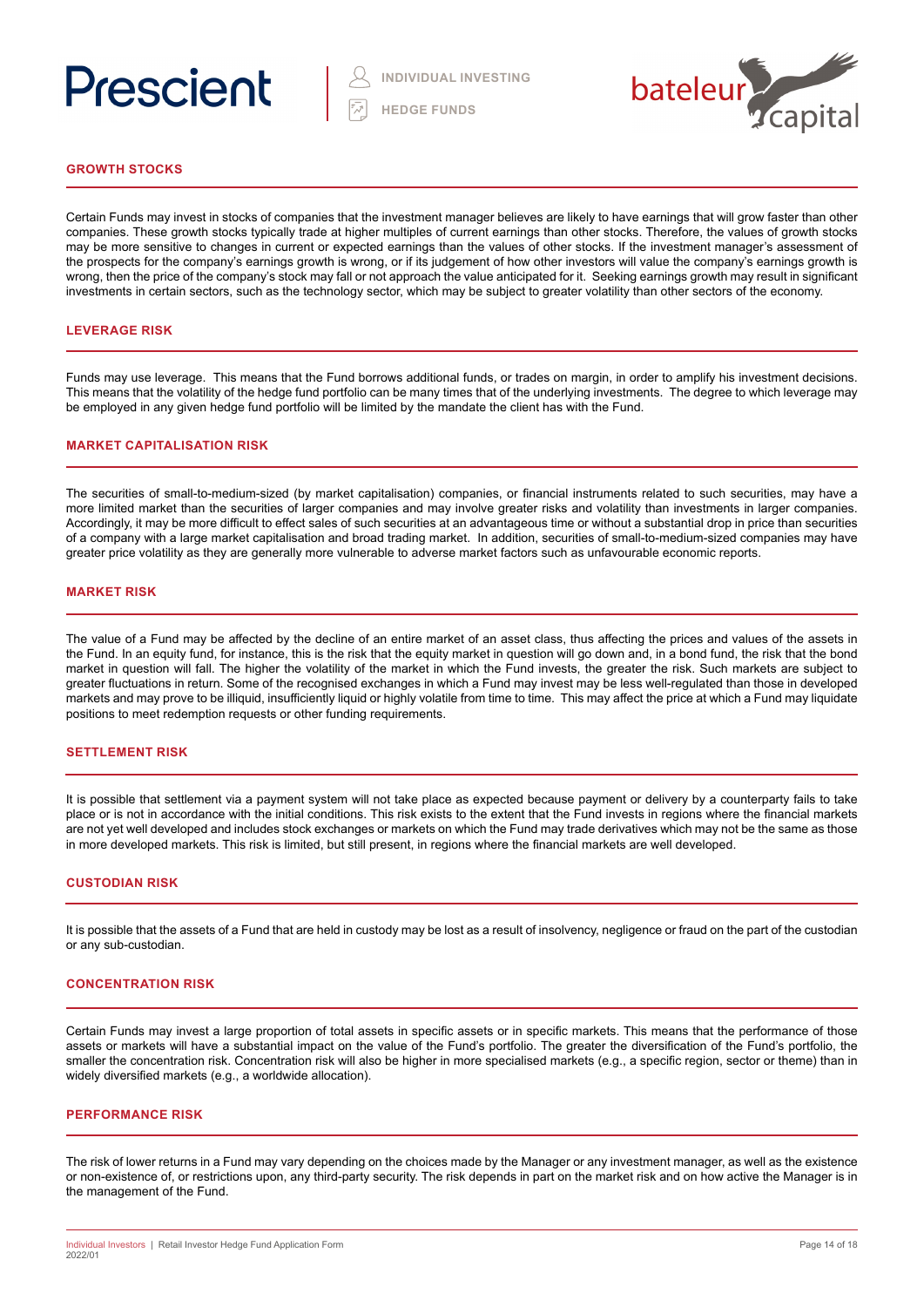# Prescient



# **GROWTH STOCKS**

Certain Funds may invest in stocks of companies that the investment manager believes are likely to have earnings that will grow faster than other companies. These growth stocks typically trade at higher multiples of current earnings than other stocks. Therefore, the values of growth stocks may be more sensitive to changes in current or expected earnings than the values of other stocks. If the investment manager's assessment of the prospects for the company's earnings growth is wrong, or if its judgement of how other investors will value the company's earnings growth is wrong, then the price of the company's stock may fall or not approach the value anticipated for it. Seeking earnings growth may result in significant investments in certain sectors, such as the technology sector, which may be subject to greater volatility than other sectors of the economy.

# **LEVERAGE RISK**

Funds may use leverage. This means that the Fund borrows additional funds, or trades on margin, in order to amplify his investment decisions. This means that the volatility of the hedge fund portfolio can be many times that of the underlying investments. The degree to which leverage may be employed in any given hedge fund portfolio will be limited by the mandate the client has with the Fund.

### **MARKET CAPITALISATION RISK**

The securities of small-to-medium-sized (by market capitalisation) companies, or financial instruments related to such securities, may have a more limited market than the securities of larger companies and may involve greater risks and volatility than investments in larger companies. Accordingly, it may be more difficult to effect sales of such securities at an advantageous time or without a substantial drop in price than securities of a company with a large market capitalisation and broad trading market. In addition, securities of small-to-medium-sized companies may have greater price volatility as they are generally more vulnerable to adverse market factors such as unfavourable economic reports.

### **MARKET RISK**

The value of a Fund may be affected by the decline of an entire market of an asset class, thus affecting the prices and values of the assets in the Fund. In an equity fund, for instance, this is the risk that the equity market in question will go down and, in a bond fund, the risk that the bond market in question will fall. The higher the volatility of the market in which the Fund invests, the greater the risk. Such markets are subject to greater fluctuations in return. Some of the recognised exchanges in which a Fund may invest may be less well-regulated than those in developed markets and may prove to be illiquid, insufficiently liquid or highly volatile from time to time. This may affect the price at which a Fund may liquidate positions to meet redemption requests or other funding requirements.

### **SETTLEMENT RISK**

It is possible that settlement via a payment system will not take place as expected because payment or delivery by a counterparty fails to take place or is not in accordance with the initial conditions. This risk exists to the extent that the Fund invests in regions where the financial markets are not yet well developed and includes stock exchanges or markets on which the Fund may trade derivatives which may not be the same as those in more developed markets. This risk is limited, but still present, in regions where the financial markets are well developed.

### **CUSTODIAN RISK**

It is possible that the assets of a Fund that are held in custody may be lost as a result of insolvency, negligence or fraud on the part of the custodian or any sub-custodian.

### **CONCENTRATION RISK**

Certain Funds may invest a large proportion of total assets in specific assets or in specific markets. This means that the performance of those assets or markets will have a substantial impact on the value of the Fund's portfolio. The greater the diversification of the Fund's portfolio, the smaller the concentration risk. Concentration risk will also be higher in more specialised markets (e.g., a specific region, sector or theme) than in widely diversified markets (e.g., a worldwide allocation).

### **PERFORMANCE RISK**

The risk of lower returns in a Fund may vary depending on the choices made by the Manager or any investment manager, as well as the existence or non-existence of, or restrictions upon, any third-party security. The risk depends in part on the market risk and on how active the Manager is in the management of the Fund.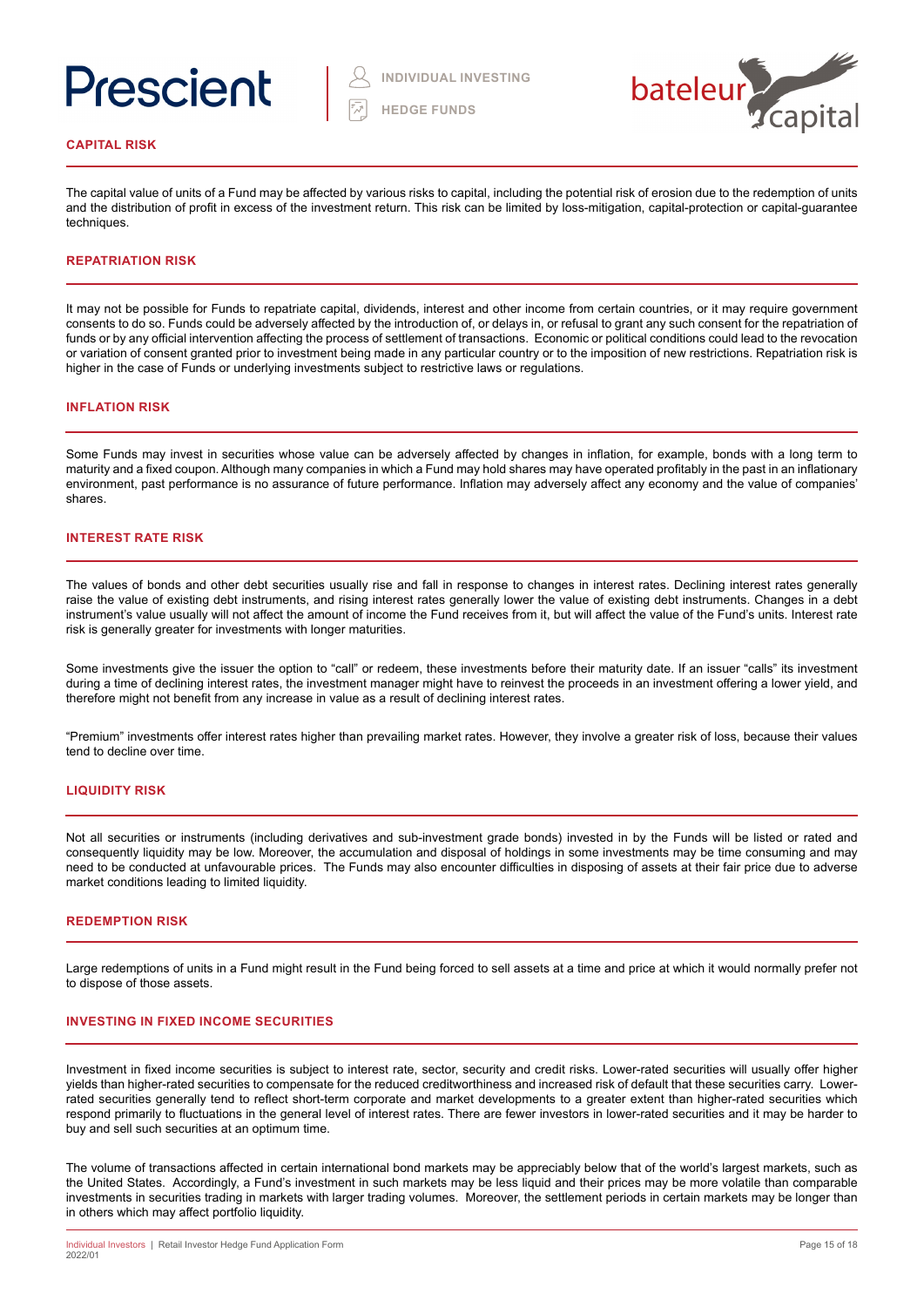# Prescient



### **CAPITAL RISK**

The capital value of units of a Fund may be affected by various risks to capital, including the potential risk of erosion due to the redemption of units and the distribution of profit in excess of the investment return. This risk can be limited by loss-mitigation, capital-protection or capital-guarantee techniques.

# **REPATRIATION RISK**

It may not be possible for Funds to repatriate capital, dividends, interest and other income from certain countries, or it may require government consents to do so. Funds could be adversely affected by the introduction of, or delays in, or refusal to grant any such consent for the repatriation of funds or by any official intervention affecting the process of settlement of transactions. Economic or political conditions could lead to the revocation or variation of consent granted prior to investment being made in any particular country or to the imposition of new restrictions. Repatriation risk is higher in the case of Funds or underlying investments subject to restrictive laws or regulations.

### **INFLATION RISK**

Some Funds may invest in securities whose value can be adversely affected by changes in inflation, for example, bonds with a long term to maturity and a fixed coupon. Although many companies in which a Fund may hold shares may have operated profitably in the past in an inflationary environment, past performance is no assurance of future performance. Inflation may adversely affect any economy and the value of companies' shares.

# **INTEREST RATE RISK**

The values of bonds and other debt securities usually rise and fall in response to changes in interest rates. Declining interest rates generally raise the value of existing debt instruments, and rising interest rates generally lower the value of existing debt instruments. Changes in a debt instrument's value usually will not affect the amount of income the Fund receives from it, but will affect the value of the Fund's units. Interest rate risk is generally greater for investments with longer maturities.

Some investments give the issuer the option to "call" or redeem, these investments before their maturity date. If an issuer "calls" its investment during a time of declining interest rates, the investment manager might have to reinvest the proceeds in an investment offering a lower yield, and therefore might not benefit from any increase in value as a result of declining interest rates.

"Premium" investments offer interest rates higher than prevailing market rates. However, they involve a greater risk of loss, because their values tend to decline over time.

### **LIQUIDITY RISK**

Not all securities or instruments (including derivatives and sub-investment grade bonds) invested in by the Funds will be listed or rated and consequently liquidity may be low. Moreover, the accumulation and disposal of holdings in some investments may be time consuming and may need to be conducted at unfavourable prices. The Funds may also encounter difficulties in disposing of assets at their fair price due to adverse market conditions leading to limited liquidity.

# **REDEMPTION RISK**

Large redemptions of units in a Fund might result in the Fund being forced to sell assets at a time and price at which it would normally prefer not to dispose of those assets.

### **INVESTING IN FIXED INCOME SECURITIES**

Investment in fixed income securities is subject to interest rate, sector, security and credit risks. Lower-rated securities will usually offer higher yields than higher-rated securities to compensate for the reduced creditworthiness and increased risk of default that these securities carry. Lowerrated securities generally tend to reflect short-term corporate and market developments to a greater extent than higher-rated securities which respond primarily to fluctuations in the general level of interest rates. There are fewer investors in lower-rated securities and it may be harder to buy and sell such securities at an optimum time.

The volume of transactions affected in certain international bond markets may be appreciably below that of the world's largest markets, such as the United States. Accordingly, a Fund's investment in such markets may be less liquid and their prices may be more volatile than comparable investments in securities trading in markets with larger trading volumes. Moreover, the settlement periods in certain markets may be longer than in others which may affect portfolio liquidity.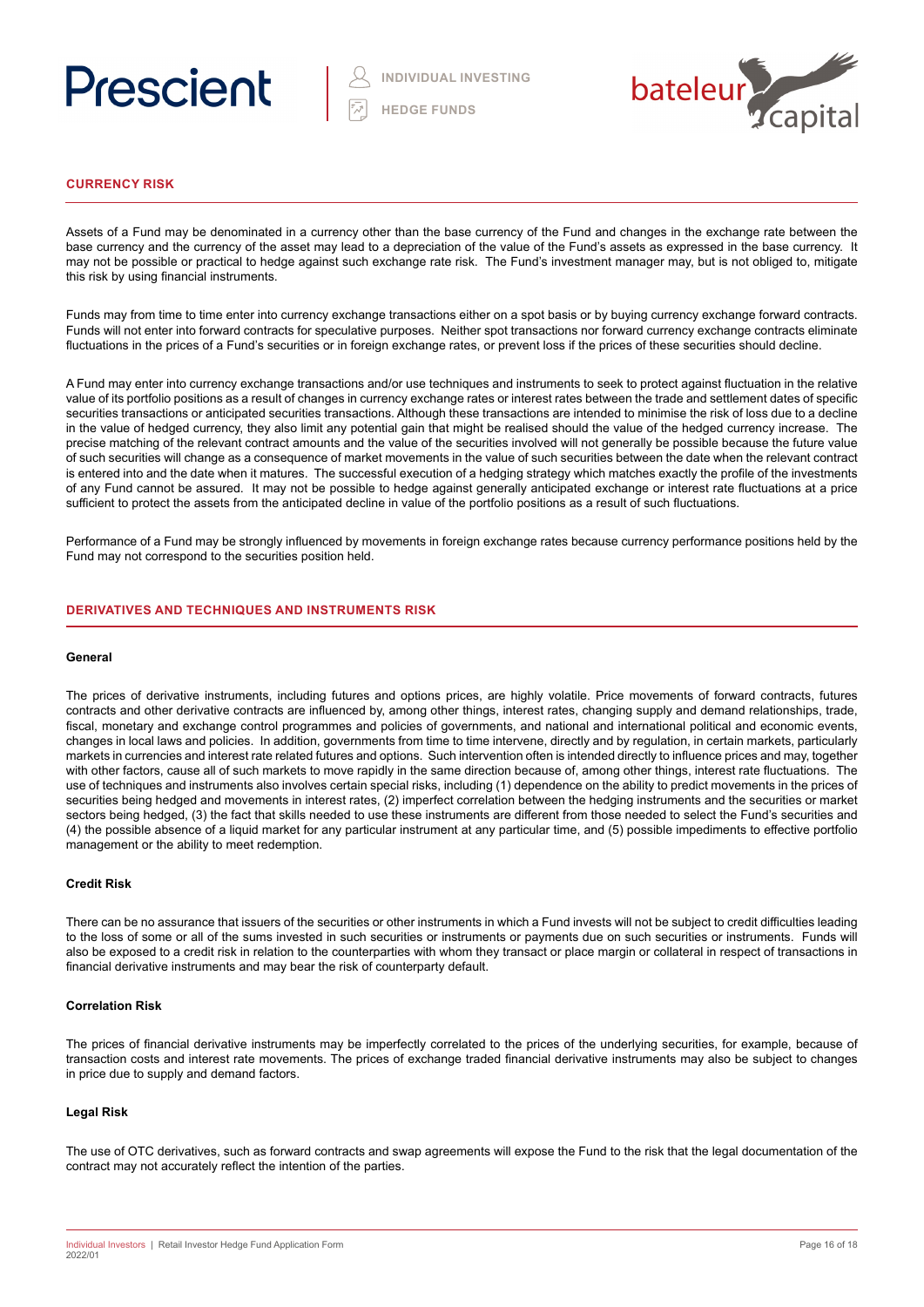



# **CURRENCY RISK**

Assets of a Fund may be denominated in a currency other than the base currency of the Fund and changes in the exchange rate between the base currency and the currency of the asset may lead to a depreciation of the value of the Fund's assets as expressed in the base currency. It may not be possible or practical to hedge against such exchange rate risk. The Fund's investment manager may, but is not obliged to, mitigate this risk by using financial instruments.

Funds may from time to time enter into currency exchange transactions either on a spot basis or by buying currency exchange forward contracts. Funds will not enter into forward contracts for speculative purposes. Neither spot transactions nor forward currency exchange contracts eliminate fluctuations in the prices of a Fund's securities or in foreign exchange rates, or prevent loss if the prices of these securities should decline.

A Fund may enter into currency exchange transactions and/or use techniques and instruments to seek to protect against fluctuation in the relative value of its portfolio positions as a result of changes in currency exchange rates or interest rates between the trade and settlement dates of specific securities transactions or anticipated securities transactions. Although these transactions are intended to minimise the risk of loss due to a decline in the value of hedged currency, they also limit any potential gain that might be realised should the value of the hedged currency increase. The precise matching of the relevant contract amounts and the value of the securities involved will not generally be possible because the future value of such securities will change as a consequence of market movements in the value of such securities between the date when the relevant contract is entered into and the date when it matures. The successful execution of a hedging strategy which matches exactly the profile of the investments of any Fund cannot be assured. It may not be possible to hedge against generally anticipated exchange or interest rate fluctuations at a price sufficient to protect the assets from the anticipated decline in value of the portfolio positions as a result of such fluctuations.

Performance of a Fund may be strongly influenced by movements in foreign exchange rates because currency performance positions held by the Fund may not correspond to the securities position held.

## **DERIVATIVES AND TECHNIQUES AND INSTRUMENTS RISK**

### **General**

The prices of derivative instruments, including futures and options prices, are highly volatile. Price movements of forward contracts, futures contracts and other derivative contracts are influenced by, among other things, interest rates, changing supply and demand relationships, trade, fiscal, monetary and exchange control programmes and policies of governments, and national and international political and economic events, changes in local laws and policies. In addition, governments from time to time intervene, directly and by regulation, in certain markets, particularly markets in currencies and interest rate related futures and options. Such intervention often is intended directly to influence prices and may, together with other factors, cause all of such markets to move rapidly in the same direction because of, among other things, interest rate fluctuations. The use of techniques and instruments also involves certain special risks, including (1) dependence on the ability to predict movements in the prices of securities being hedged and movements in interest rates, (2) imperfect correlation between the hedging instruments and the securities or market sectors being hedged, (3) the fact that skills needed to use these instruments are different from those needed to select the Fund's securities and (4) the possible absence of a liquid market for any particular instrument at any particular time, and (5) possible impediments to effective portfolio management or the ability to meet redemption.

### **Credit Risk**

There can be no assurance that issuers of the securities or other instruments in which a Fund invests will not be subject to credit difficulties leading to the loss of some or all of the sums invested in such securities or instruments or payments due on such securities or instruments. Funds will also be exposed to a credit risk in relation to the counterparties with whom they transact or place margin or collateral in respect of transactions in financial derivative instruments and may bear the risk of counterparty default.

### **Correlation Risk**

The prices of financial derivative instruments may be imperfectly correlated to the prices of the underlying securities, for example, because of transaction costs and interest rate movements. The prices of exchange traded financial derivative instruments may also be subject to changes in price due to supply and demand factors.

### **Legal Risk**

The use of OTC derivatives, such as forward contracts and swap agreements will expose the Fund to the risk that the legal documentation of the contract may not accurately reflect the intention of the parties.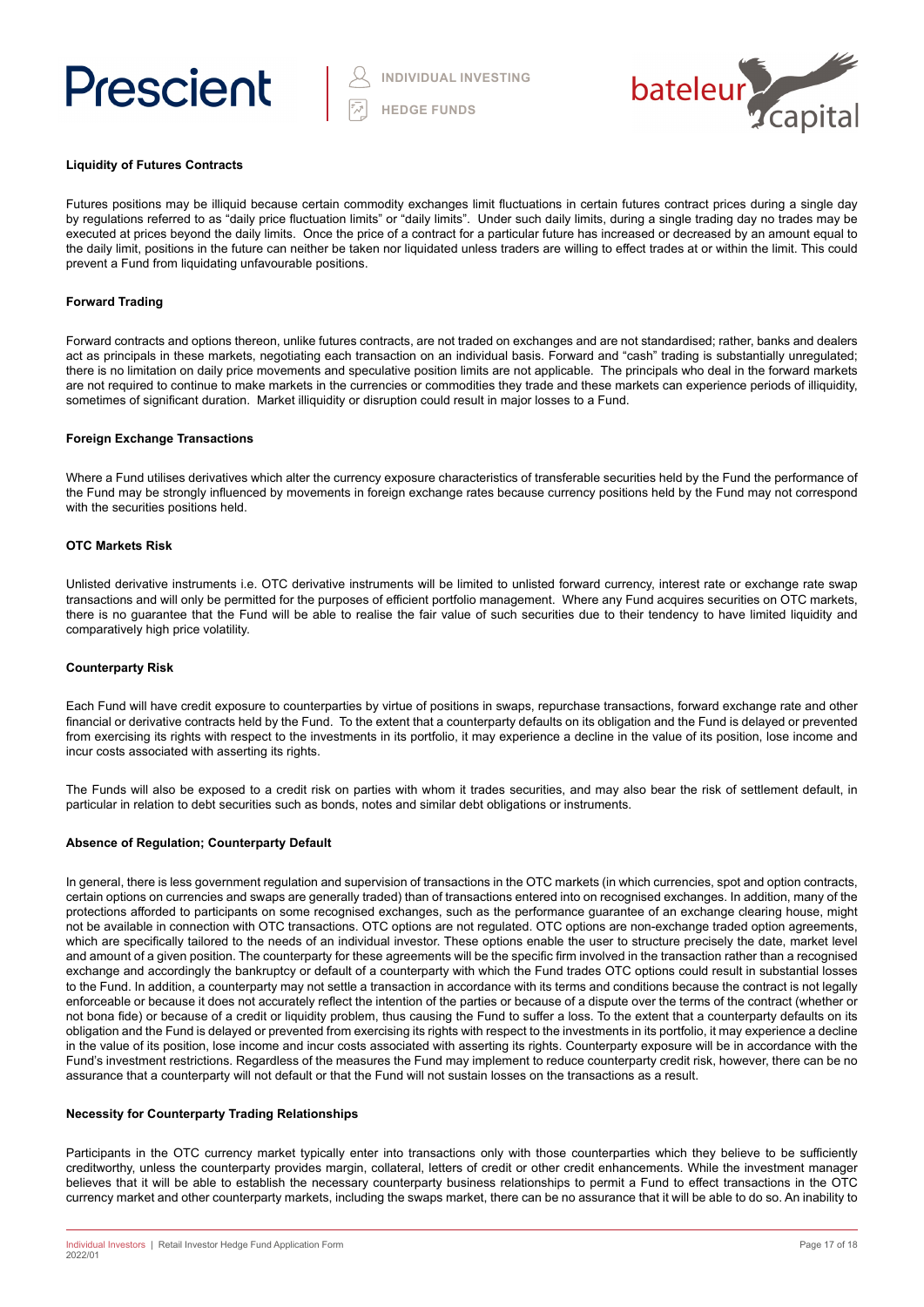



### **Liquidity of Futures Contracts**

Futures positions may be illiquid because certain commodity exchanges limit fluctuations in certain futures contract prices during a single day by regulations referred to as "daily price fluctuation limits" or "daily limits". Under such daily limits, during a single trading day no trades may be executed at prices beyond the daily limits. Once the price of a contract for a particular future has increased or decreased by an amount equal to the daily limit, positions in the future can neither be taken nor liquidated unless traders are willing to effect trades at or within the limit. This could prevent a Fund from liquidating unfavourable positions.

## **Forward Trading**

Forward contracts and options thereon, unlike futures contracts, are not traded on exchanges and are not standardised; rather, banks and dealers act as principals in these markets, negotiating each transaction on an individual basis. Forward and "cash" trading is substantially unregulated; there is no limitation on daily price movements and speculative position limits are not applicable. The principals who deal in the forward markets are not required to continue to make markets in the currencies or commodities they trade and these markets can experience periods of illiquidity, sometimes of significant duration. Market illiquidity or disruption could result in major losses to a Fund.

### **Foreign Exchange Transactions**

Where a Fund utilises derivatives which alter the currency exposure characteristics of transferable securities held by the Fund the performance of the Fund may be strongly influenced by movements in foreign exchange rates because currency positions held by the Fund may not correspond with the securities positions held.

### **OTC Markets Risk**

Unlisted derivative instruments i.e. OTC derivative instruments will be limited to unlisted forward currency, interest rate or exchange rate swap transactions and will only be permitted for the purposes of efficient portfolio management. Where any Fund acquires securities on OTC markets, there is no guarantee that the Fund will be able to realise the fair value of such securities due to their tendency to have limited liquidity and comparatively high price volatility.

### **Counterparty Risk**

Each Fund will have credit exposure to counterparties by virtue of positions in swaps, repurchase transactions, forward exchange rate and other financial or derivative contracts held by the Fund. To the extent that a counterparty defaults on its obligation and the Fund is delayed or prevented from exercising its rights with respect to the investments in its portfolio, it may experience a decline in the value of its position, lose income and incur costs associated with asserting its rights.

The Funds will also be exposed to a credit risk on parties with whom it trades securities, and may also bear the risk of settlement default, in particular in relation to debt securities such as bonds, notes and similar debt obligations or instruments.

### **Absence of Regulation; Counterparty Default**

In general, there is less government regulation and supervision of transactions in the OTC markets (in which currencies, spot and option contracts, certain options on currencies and swaps are generally traded) than of transactions entered into on recognised exchanges. In addition, many of the protections afforded to participants on some recognised exchanges, such as the performance guarantee of an exchange clearing house, might not be available in connection with OTC transactions. OTC options are not regulated. OTC options are non-exchange traded option agreements, which are specifically tailored to the needs of an individual investor. These options enable the user to structure precisely the date, market level and amount of a given position. The counterparty for these agreements will be the specific firm involved in the transaction rather than a recognised exchange and accordingly the bankruptcy or default of a counterparty with which the Fund trades OTC options could result in substantial losses to the Fund. In addition, a counterparty may not settle a transaction in accordance with its terms and conditions because the contract is not legally enforceable or because it does not accurately reflect the intention of the parties or because of a dispute over the terms of the contract (whether or not bona fide) or because of a credit or liquidity problem, thus causing the Fund to suffer a loss. To the extent that a counterparty defaults on its obligation and the Fund is delayed or prevented from exercising its rights with respect to the investments in its portfolio, it may experience a decline in the value of its position, lose income and incur costs associated with asserting its rights. Counterparty exposure will be in accordance with the Fund's investment restrictions. Regardless of the measures the Fund may implement to reduce counterparty credit risk, however, there can be no assurance that a counterparty will not default or that the Fund will not sustain losses on the transactions as a result.

### **Necessity for Counterparty Trading Relationships**

Participants in the OTC currency market typically enter into transactions only with those counterparties which they believe to be sufficiently creditworthy, unless the counterparty provides margin, collateral, letters of credit or other credit enhancements. While the investment manager believes that it will be able to establish the necessary counterparty business relationships to permit a Fund to effect transactions in the OTC currency market and other counterparty markets, including the swaps market, there can be no assurance that it will be able to do so. An inability to